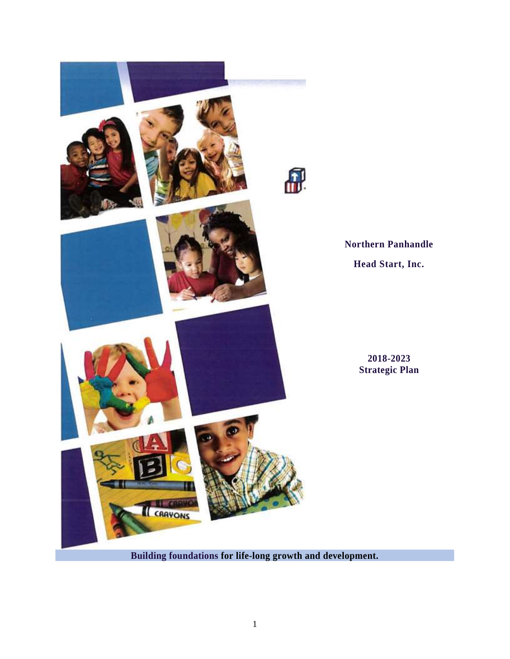

**Northern Panhandle Head Start, Inc.**

> **2018-2023 Strategic Plan**

**Building foundations for life-long growth and development.**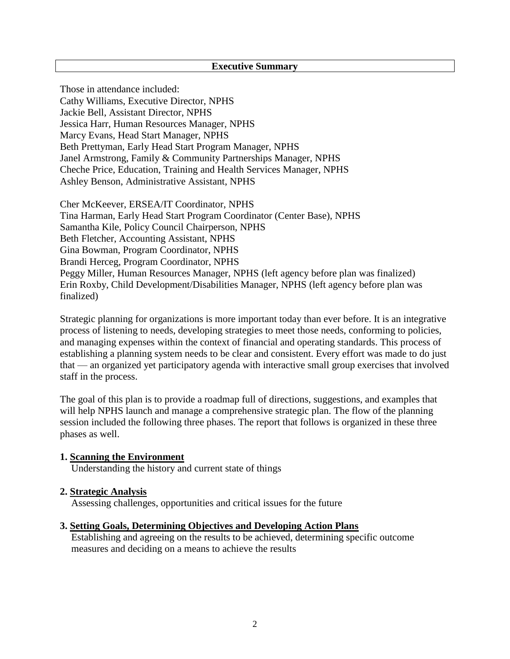#### **Executive Summary**

Those in attendance included: Cathy Williams, Executive Director, NPHS Jackie Bell, Assistant Director, NPHS Jessica Harr, Human Resources Manager, NPHS Marcy Evans, Head Start Manager, NPHS Beth Prettyman, Early Head Start Program Manager, NPHS Janel Armstrong, Family & Community Partnerships Manager, NPHS Cheche Price, Education, Training and Health Services Manager, NPHS Ashley Benson, Administrative Assistant, NPHS

Cher McKeever, ERSEA/IT Coordinator, NPHS Tina Harman, Early Head Start Program Coordinator (Center Base), NPHS Samantha Kile, Policy Council Chairperson, NPHS Beth Fletcher, Accounting Assistant, NPHS Gina Bowman, Program Coordinator, NPHS Brandi Herceg, Program Coordinator, NPHS Peggy Miller, Human Resources Manager, NPHS (left agency before plan was finalized) Erin Roxby, Child Development/Disabilities Manager, NPHS (left agency before plan was finalized)

Strategic planning for organizations is more important today than ever before. It is an integrative process of listening to needs, developing strategies to meet those needs, conforming to policies, and managing expenses within the context of financial and operating standards. This process of establishing a planning system needs to be clear and consistent. Every effort was made to do just that — an organized yet participatory agenda with interactive small group exercises that involved staff in the process.

The goal of this plan is to provide a roadmap full of directions, suggestions, and examples that will help NPHS launch and manage a comprehensive strategic plan. The flow of the planning session included the following three phases. The report that follows is organized in these three phases as well.

#### **1. Scanning the Environment**

Understanding the history and current state of things

#### **2. Strategic Analysis**

Assessing challenges, opportunities and critical issues for the future

#### **3. Setting Goals, Determining Objectives and Developing Action Plans**

Establishing and agreeing on the results to be achieved, determining specific outcome measures and deciding on a means to achieve the results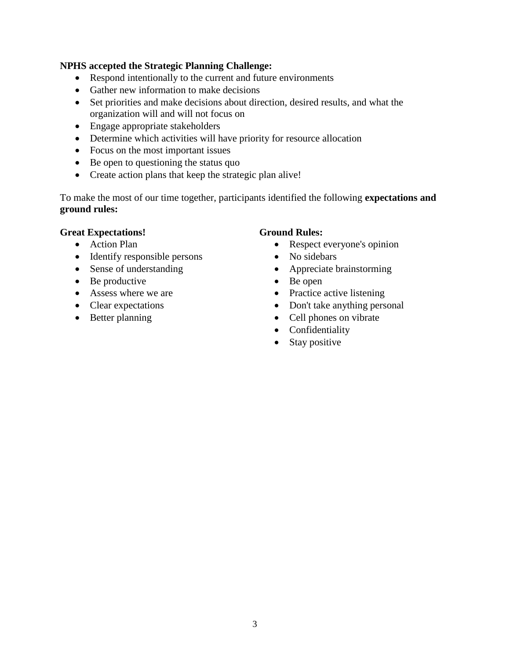### **NPHS accepted the Strategic Planning Challenge:**

- Respond intentionally to the current and future environments
- Gather new information to make decisions
- Set priorities and make decisions about direction, desired results, and what the organization will and will not focus on
- Engage appropriate stakeholders
- Determine which activities will have priority for resource allocation
- Focus on the most important issues
- Be open to questioning the status quo
- Create action plans that keep the strategic plan alive!

To make the most of our time together, participants identified the following **expectations and ground rules:**

#### **Great Expectations!**

- Action Plan
- Identify responsible persons
- Sense of understanding
- Be productive
- Assess where we are
- Clear expectations
- Better planning

#### **Ground Rules:**

- Respect everyone's opinion
- No sidebars
- Appreciate brainstorming
- Be open
- Practice active listening
- Don't take anything personal
- Cell phones on vibrate
- Confidentiality
- Stay positive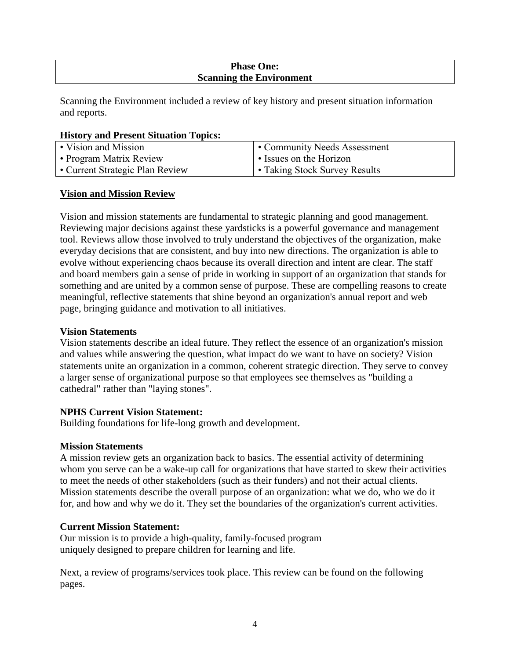## **Phase One: Scanning the Environment**

Scanning the Environment included a review of key history and present situation information and reports.

#### **History and Present Situation Topics:**

| • Vision and Mission            | <b>Community Needs Assessment</b>    |
|---------------------------------|--------------------------------------|
| • Program Matrix Review         | • Issues on the Horizon              |
| • Current Strategic Plan Review | <b>• Taking Stock Survey Results</b> |

## **Vision and Mission Review**

Vision and mission statements are fundamental to strategic planning and good management. Reviewing major decisions against these yardsticks is a powerful governance and management tool. Reviews allow those involved to truly understand the objectives of the organization, make everyday decisions that are consistent, and buy into new directions. The organization is able to evolve without experiencing chaos because its overall direction and intent are clear. The staff and board members gain a sense of pride in working in support of an organization that stands for something and are united by a common sense of purpose. These are compelling reasons to create meaningful, reflective statements that shine beyond an organization's annual report and web page, bringing guidance and motivation to all initiatives.

### **Vision Statements**

Vision statements describe an ideal future. They reflect the essence of an organization's mission and values while answering the question, what impact do we want to have on society? Vision statements unite an organization in a common, coherent strategic direction. They serve to convey a larger sense of organizational purpose so that employees see themselves as "building a cathedral" rather than "laying stones".

## **NPHS Current Vision Statement:**

Building foundations for life-long growth and development.

## **Mission Statements**

A mission review gets an organization back to basics. The essential activity of determining whom you serve can be a wake-up call for organizations that have started to skew their activities to meet the needs of other stakeholders (such as their funders) and not their actual clients. Mission statements describe the overall purpose of an organization: what we do, who we do it for, and how and why we do it. They set the boundaries of the organization's current activities.

## **Current Mission Statement:**

Our mission is to provide a high-quality, family-focused program uniquely designed to prepare children for learning and life.

Next, a review of programs/services took place. This review can be found on the following pages.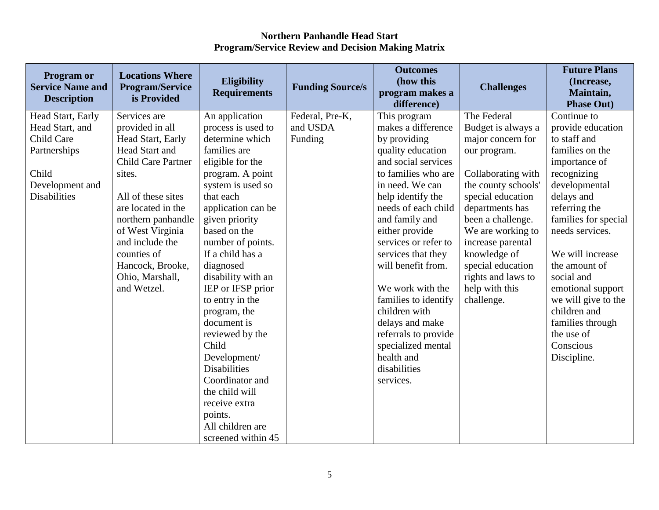| Program or<br><b>Service Name and</b><br><b>Description</b>                                                           | <b>Locations Where</b><br><b>Program/Service</b><br>is Provided                                                                                                                                                                                                                             | Eligibility<br><b>Requirements</b>                                                                                                                                                                                                                                                                         | <b>Funding Source/s</b>                | <b>Outcomes</b><br>(how this<br>program makes a<br>difference)                                                                                                                                                                                                                                                   | <b>Challenges</b>                                                                                                                                                                                                                                                                                       | <b>Future Plans</b><br>(Increase,<br>Maintain,<br><b>Phase Out)</b>                                                                                                                                                                                                    |
|-----------------------------------------------------------------------------------------------------------------------|---------------------------------------------------------------------------------------------------------------------------------------------------------------------------------------------------------------------------------------------------------------------------------------------|------------------------------------------------------------------------------------------------------------------------------------------------------------------------------------------------------------------------------------------------------------------------------------------------------------|----------------------------------------|------------------------------------------------------------------------------------------------------------------------------------------------------------------------------------------------------------------------------------------------------------------------------------------------------------------|---------------------------------------------------------------------------------------------------------------------------------------------------------------------------------------------------------------------------------------------------------------------------------------------------------|------------------------------------------------------------------------------------------------------------------------------------------------------------------------------------------------------------------------------------------------------------------------|
| Head Start, Early<br>Head Start, and<br>Child Care<br>Partnerships<br>Child<br>Development and<br><b>Disabilities</b> | Services are<br>provided in all<br>Head Start, Early<br>Head Start and<br><b>Child Care Partner</b><br>sites.<br>All of these sites<br>are located in the<br>northern panhandle<br>of West Virginia<br>and include the<br>counties of<br>Hancock, Brooke,<br>Ohio, Marshall,<br>and Wetzel. | An application<br>process is used to<br>determine which<br>families are<br>eligible for the<br>program. A point<br>system is used so<br>that each<br>application can be<br>given priority<br>based on the<br>number of points.<br>If a child has a<br>diagnosed<br>disability with an<br>IEP or IFSP prior | Federal, Pre-K,<br>and USDA<br>Funding | This program<br>makes a difference<br>by providing<br>quality education<br>and social services<br>to families who are<br>in need. We can<br>help identify the<br>needs of each child<br>and family and<br>either provide<br>services or refer to<br>services that they<br>will benefit from.<br>We work with the | The Federal<br>Budget is always a<br>major concern for<br>our program.<br>Collaborating with<br>the county schools'<br>special education<br>departments has<br>been a challenge.<br>We are working to<br>increase parental<br>knowledge of<br>special education<br>rights and laws to<br>help with this | Continue to<br>provide education<br>to staff and<br>families on the<br>importance of<br>recognizing<br>developmental<br>delays and<br>referring the<br>families for special<br>needs services.<br>We will increase<br>the amount of<br>social and<br>emotional support |
|                                                                                                                       |                                                                                                                                                                                                                                                                                             | to entry in the<br>program, the<br>document is<br>reviewed by the<br>Child<br>Development/<br><b>Disabilities</b><br>Coordinator and<br>the child will<br>receive extra<br>points.<br>All children are<br>screened within 45                                                                               |                                        | families to identify<br>children with<br>delays and make<br>referrals to provide<br>specialized mental<br>health and<br>disabilities<br>services.                                                                                                                                                                | challenge.                                                                                                                                                                                                                                                                                              | we will give to the<br>children and<br>families through<br>the use of<br>Conscious<br>Discipline.                                                                                                                                                                      |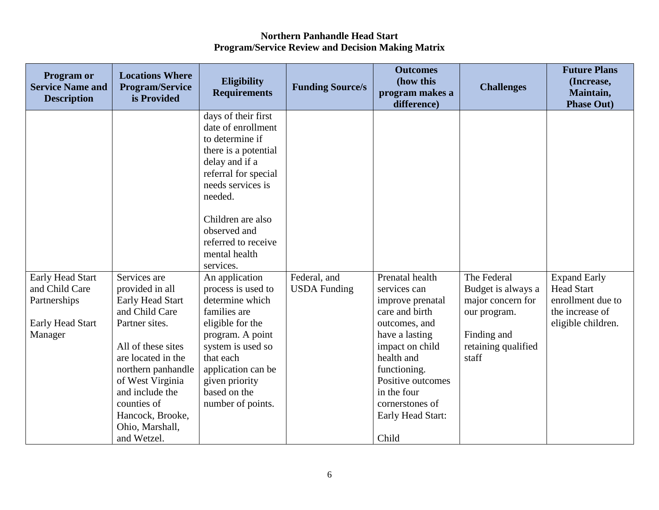| <b>Program or</b><br><b>Service Name and</b><br><b>Description</b>                              | <b>Locations Where</b><br><b>Program/Service</b><br>is Provided                                                                                                                                                                                                       | Eligibility<br><b>Requirements</b>                                                                                                                                                                                                                       | <b>Funding Source/s</b>             | <b>Outcomes</b><br>(how this<br>program makes a<br>difference)                                                                                                                                                                                 | <b>Challenges</b>                                                                                                     | <b>Future Plans</b><br>(Increase,<br>Maintain,<br><b>Phase Out)</b>                                    |
|-------------------------------------------------------------------------------------------------|-----------------------------------------------------------------------------------------------------------------------------------------------------------------------------------------------------------------------------------------------------------------------|----------------------------------------------------------------------------------------------------------------------------------------------------------------------------------------------------------------------------------------------------------|-------------------------------------|------------------------------------------------------------------------------------------------------------------------------------------------------------------------------------------------------------------------------------------------|-----------------------------------------------------------------------------------------------------------------------|--------------------------------------------------------------------------------------------------------|
|                                                                                                 |                                                                                                                                                                                                                                                                       | days of their first<br>date of enrollment<br>to determine if<br>there is a potential<br>delay and if a<br>referral for special<br>needs services is<br>needed.<br>Children are also<br>observed and<br>referred to receive<br>mental health<br>services. |                                     |                                                                                                                                                                                                                                                |                                                                                                                       |                                                                                                        |
| <b>Early Head Start</b><br>and Child Care<br>Partnerships<br><b>Early Head Start</b><br>Manager | Services are<br>provided in all<br>Early Head Start<br>and Child Care<br>Partner sites.<br>All of these sites<br>are located in the<br>northern panhandle<br>of West Virginia<br>and include the<br>counties of<br>Hancock, Brooke,<br>Ohio, Marshall,<br>and Wetzel. | An application<br>process is used to<br>determine which<br>families are<br>eligible for the<br>program. A point<br>system is used so<br>that each<br>application can be<br>given priority<br>based on the<br>number of points.                           | Federal, and<br><b>USDA</b> Funding | Prenatal health<br>services can<br>improve prenatal<br>care and birth<br>outcomes, and<br>have a lasting<br>impact on child<br>health and<br>functioning.<br>Positive outcomes<br>in the four<br>cornerstones of<br>Early Head Start:<br>Child | The Federal<br>Budget is always a<br>major concern for<br>our program.<br>Finding and<br>retaining qualified<br>staff | <b>Expand Early</b><br><b>Head Start</b><br>enrollment due to<br>the increase of<br>eligible children. |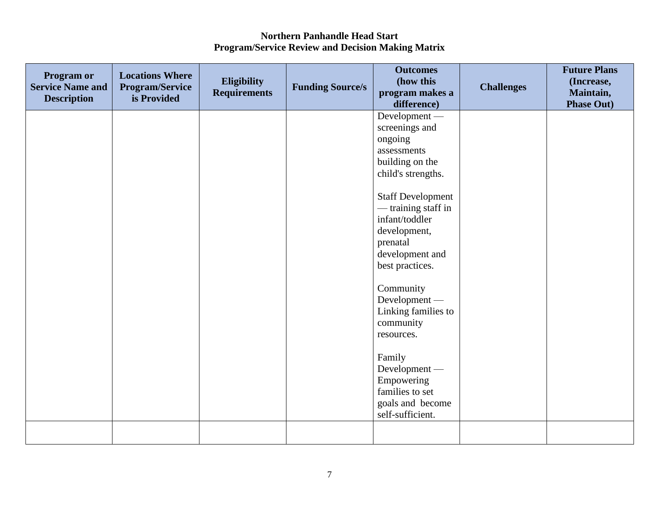| <b>Program or</b><br><b>Service Name and</b><br><b>Description</b> | <b>Locations Where</b><br><b>Program/Service</b><br>is Provided | Eligibility<br><b>Requirements</b> | <b>Funding Source/s</b> | <b>Outcomes</b><br>(how this<br>program makes a<br>difference)                                                                                                                                                                                                                                                                                                                                                                | <b>Challenges</b> | <b>Future Plans</b><br>(Increase,<br>Maintain,<br><b>Phase Out)</b> |
|--------------------------------------------------------------------|-----------------------------------------------------------------|------------------------------------|-------------------------|-------------------------------------------------------------------------------------------------------------------------------------------------------------------------------------------------------------------------------------------------------------------------------------------------------------------------------------------------------------------------------------------------------------------------------|-------------------|---------------------------------------------------------------------|
|                                                                    |                                                                 |                                    |                         | Development -<br>screenings and<br>ongoing<br>assessments<br>building on the<br>child's strengths.<br><b>Staff Development</b><br>— training staff in<br>infant/toddler<br>development,<br>prenatal<br>development and<br>best practices.<br>Community<br>Development -<br>Linking families to<br>community<br>resources.<br>Family<br>Development -<br>Empowering<br>families to set<br>goals and become<br>self-sufficient. |                   |                                                                     |
|                                                                    |                                                                 |                                    |                         |                                                                                                                                                                                                                                                                                                                                                                                                                               |                   |                                                                     |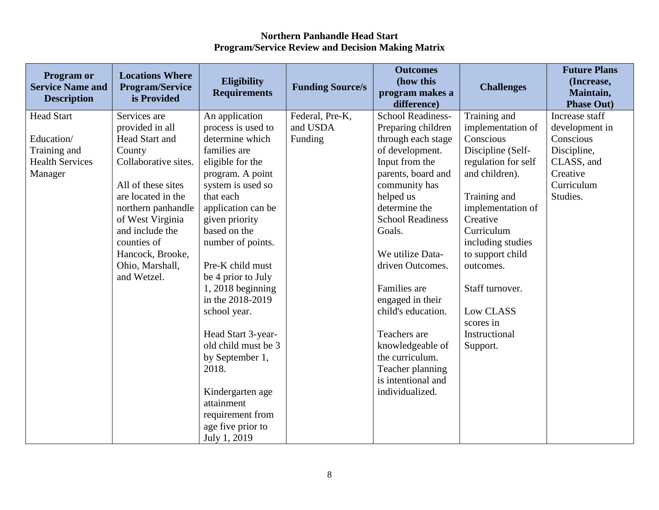| Program or<br><b>Service Name and</b><br><b>Description</b> | <b>Locations Where</b><br><b>Program/Service</b><br>is Provided | Eligibility<br><b>Requirements</b> | <b>Funding Source/s</b> | <b>Outcomes</b><br>(how this<br>program makes a<br>difference) | <b>Challenges</b>   | <b>Future Plans</b><br>(Increase,<br>Maintain,<br><b>Phase Out)</b> |
|-------------------------------------------------------------|-----------------------------------------------------------------|------------------------------------|-------------------------|----------------------------------------------------------------|---------------------|---------------------------------------------------------------------|
| <b>Head Start</b>                                           | Services are                                                    | An application                     | Federal, Pre-K,         | <b>School Readiness-</b>                                       | Training and        | Increase staff                                                      |
|                                                             | provided in all                                                 | process is used to                 | and USDA                | Preparing children                                             | implementation of   | development in                                                      |
| Education/                                                  | Head Start and                                                  | determine which                    | Funding                 | through each stage                                             | Conscious           | Conscious                                                           |
| Training and                                                | County                                                          | families are                       |                         | of development.                                                | Discipline (Self-   | Discipline,                                                         |
| <b>Health Services</b>                                      | Collaborative sites.                                            | eligible for the                   |                         | Input from the                                                 | regulation for self | CLASS, and                                                          |
| Manager                                                     |                                                                 | program. A point                   |                         | parents, board and                                             | and children).      | Creative                                                            |
|                                                             | All of these sites                                              | system is used so                  |                         | community has                                                  |                     | Curriculum                                                          |
|                                                             | are located in the                                              | that each                          |                         | helped us                                                      | Training and        | Studies.                                                            |
|                                                             | northern panhandle                                              | application can be                 |                         | determine the                                                  | implementation of   |                                                                     |
|                                                             | of West Virginia                                                | given priority                     |                         | <b>School Readiness</b>                                        | Creative            |                                                                     |
|                                                             | and include the                                                 | based on the                       |                         | Goals.                                                         | Curriculum          |                                                                     |
|                                                             | counties of                                                     | number of points.                  |                         |                                                                | including studies   |                                                                     |
|                                                             | Hancock, Brooke,                                                |                                    |                         | We utilize Data-                                               | to support child    |                                                                     |
|                                                             | Ohio, Marshall,                                                 | Pre-K child must                   |                         | driven Outcomes.                                               | outcomes.           |                                                                     |
|                                                             | and Wetzel.                                                     | be 4 prior to July                 |                         |                                                                |                     |                                                                     |
|                                                             |                                                                 | $1, 2018$ beginning                |                         | Families are                                                   | Staff turnover.     |                                                                     |
|                                                             |                                                                 | in the 2018-2019                   |                         | engaged in their                                               |                     |                                                                     |
|                                                             |                                                                 | school year.                       |                         | child's education.                                             | Low CLASS           |                                                                     |
|                                                             |                                                                 |                                    |                         |                                                                | scores in           |                                                                     |
|                                                             |                                                                 | Head Start 3-year-                 |                         | Teachers are                                                   | Instructional       |                                                                     |
|                                                             |                                                                 | old child must be 3                |                         | knowledgeable of                                               | Support.            |                                                                     |
|                                                             |                                                                 | by September 1,                    |                         | the curriculum.                                                |                     |                                                                     |
|                                                             |                                                                 | 2018.                              |                         | Teacher planning                                               |                     |                                                                     |
|                                                             |                                                                 |                                    |                         | is intentional and                                             |                     |                                                                     |
|                                                             |                                                                 | Kindergarten age                   |                         | individualized.                                                |                     |                                                                     |
|                                                             |                                                                 | attainment                         |                         |                                                                |                     |                                                                     |
|                                                             |                                                                 | requirement from                   |                         |                                                                |                     |                                                                     |
|                                                             |                                                                 | age five prior to                  |                         |                                                                |                     |                                                                     |
|                                                             |                                                                 | July 1, 2019                       |                         |                                                                |                     |                                                                     |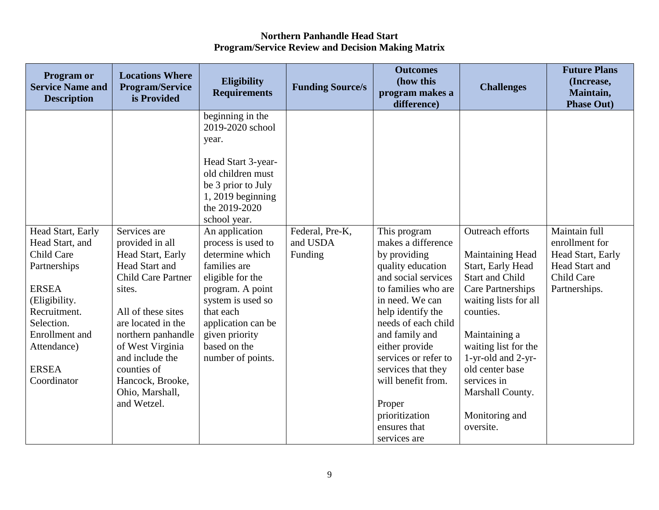| <b>Program or</b><br><b>Service Name and</b><br><b>Description</b>                                                                                                                                | <b>Locations Where</b><br><b>Program/Service</b><br>is Provided                                                                                                                                                                                                                             | Eligibility<br><b>Requirements</b>                                                                                                                                                                                                                                                                                                                                                                      | <b>Funding Source/s</b>                | <b>Outcomes</b><br>(how this<br>program makes a<br>difference)                                                                                                                                                                                                                                                           | <b>Challenges</b>                                                                                                                                                                                                                                                                            | <b>Future Plans</b><br>(Increase,<br>Maintain,<br><b>Phase Out)</b>                                          |
|---------------------------------------------------------------------------------------------------------------------------------------------------------------------------------------------------|---------------------------------------------------------------------------------------------------------------------------------------------------------------------------------------------------------------------------------------------------------------------------------------------|---------------------------------------------------------------------------------------------------------------------------------------------------------------------------------------------------------------------------------------------------------------------------------------------------------------------------------------------------------------------------------------------------------|----------------------------------------|--------------------------------------------------------------------------------------------------------------------------------------------------------------------------------------------------------------------------------------------------------------------------------------------------------------------------|----------------------------------------------------------------------------------------------------------------------------------------------------------------------------------------------------------------------------------------------------------------------------------------------|--------------------------------------------------------------------------------------------------------------|
| Head Start, Early<br>Head Start, and<br>Child Care<br>Partnerships<br><b>ERSEA</b><br>(Eligibility.<br>Recruitment.<br>Selection.<br>Enrollment and<br>Attendance)<br><b>ERSEA</b><br>Coordinator | Services are<br>provided in all<br>Head Start, Early<br>Head Start and<br><b>Child Care Partner</b><br>sites.<br>All of these sites<br>are located in the<br>northern panhandle<br>of West Virginia<br>and include the<br>counties of<br>Hancock, Brooke,<br>Ohio, Marshall,<br>and Wetzel. | beginning in the<br>2019-2020 school<br>year.<br>Head Start 3-year-<br>old children must<br>be 3 prior to July<br>$1,2019$ beginning<br>the 2019-2020<br>school year.<br>An application<br>process is used to<br>determine which<br>families are<br>eligible for the<br>program. A point<br>system is used so<br>that each<br>application can be<br>given priority<br>based on the<br>number of points. | Federal, Pre-K,<br>and USDA<br>Funding | This program<br>makes a difference<br>by providing<br>quality education<br>and social services<br>to families who are<br>in need. We can<br>help identify the<br>needs of each child<br>and family and<br>either provide<br>services or refer to<br>services that they<br>will benefit from.<br>Proper<br>prioritization | Outreach efforts<br>Maintaining Head<br>Start, Early Head<br><b>Start and Child</b><br><b>Care Partnerships</b><br>waiting lists for all<br>counties.<br>Maintaining a<br>waiting list for the<br>1-yr-old and 2-yr-<br>old center base<br>services in<br>Marshall County.<br>Monitoring and | Maintain full<br>enrollment for<br>Head Start, Early<br><b>Head Start and</b><br>Child Care<br>Partnerships. |
|                                                                                                                                                                                                   |                                                                                                                                                                                                                                                                                             |                                                                                                                                                                                                                                                                                                                                                                                                         |                                        | ensures that<br>services are                                                                                                                                                                                                                                                                                             | oversite.                                                                                                                                                                                                                                                                                    |                                                                                                              |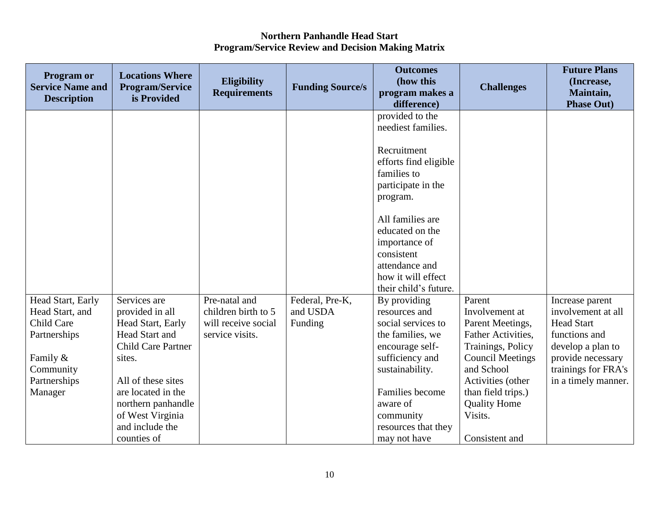| Program or<br><b>Service Name and</b><br><b>Description</b> | <b>Locations Where</b><br><b>Program/Service</b><br>is Provided | <b>Eligibility</b><br><b>Requirements</b> | <b>Funding Source/s</b> | <b>Outcomes</b><br>(how this<br>program makes a<br>difference)                                                                                                                                                                               | <b>Challenges</b>                       | <b>Future Plans</b><br>(Increase,<br>Maintain,<br><b>Phase Out)</b> |
|-------------------------------------------------------------|-----------------------------------------------------------------|-------------------------------------------|-------------------------|----------------------------------------------------------------------------------------------------------------------------------------------------------------------------------------------------------------------------------------------|-----------------------------------------|---------------------------------------------------------------------|
|                                                             |                                                                 |                                           |                         | provided to the<br>neediest families.<br>Recruitment<br>efforts find eligible<br>families to<br>participate in the<br>program.<br>All families are<br>educated on the<br>importance of<br>consistent<br>attendance and<br>how it will effect |                                         |                                                                     |
| Head Start, Early                                           | Services are                                                    | Pre-natal and                             | Federal, Pre-K,         | their child's future.<br>By providing                                                                                                                                                                                                        | Parent                                  |                                                                     |
| Head Start, and                                             | provided in all                                                 | children birth to 5                       | and USDA                | resources and                                                                                                                                                                                                                                | Involvement at                          | Increase parent<br>involvement at all                               |
| <b>Child Care</b>                                           | Head Start, Early                                               | will receive social                       | Funding                 | social services to                                                                                                                                                                                                                           | Parent Meetings,                        | <b>Head Start</b>                                                   |
| Partnerships                                                | Head Start and<br><b>Child Care Partner</b>                     | service visits.                           |                         | the families, we<br>encourage self-                                                                                                                                                                                                          | Father Activities,<br>Trainings, Policy | functions and<br>develop a plan to                                  |
| Family &                                                    | sites.                                                          |                                           |                         | sufficiency and                                                                                                                                                                                                                              | <b>Council Meetings</b>                 | provide necessary                                                   |
| Community                                                   |                                                                 |                                           |                         | sustainability.                                                                                                                                                                                                                              | and School                              | trainings for FRA's                                                 |
| Partnerships                                                | All of these sites                                              |                                           |                         |                                                                                                                                                                                                                                              | Activities (other                       | in a timely manner.                                                 |
| Manager                                                     | are located in the                                              |                                           |                         | Families become                                                                                                                                                                                                                              | than field trips.)                      |                                                                     |
|                                                             | northern panhandle                                              |                                           |                         | aware of                                                                                                                                                                                                                                     | <b>Quality Home</b>                     |                                                                     |
|                                                             | of West Virginia                                                |                                           |                         | community                                                                                                                                                                                                                                    | Visits.                                 |                                                                     |
|                                                             | and include the                                                 |                                           |                         | resources that they                                                                                                                                                                                                                          |                                         |                                                                     |
|                                                             | counties of                                                     |                                           |                         | may not have                                                                                                                                                                                                                                 | Consistent and                          |                                                                     |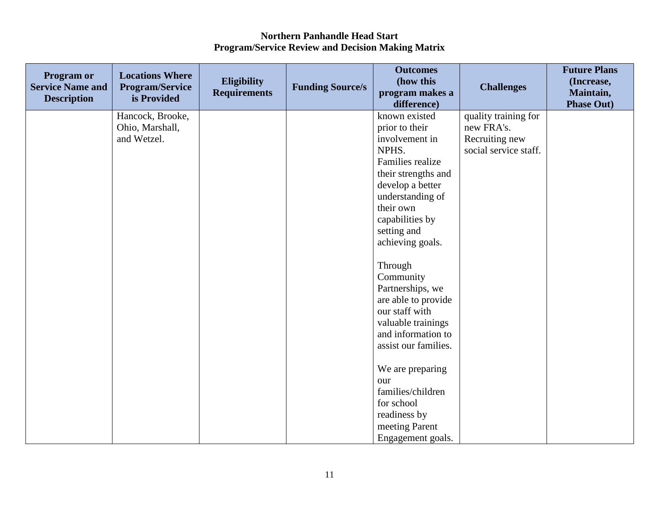| <b>Program or</b><br><b>Service Name and</b><br><b>Description</b> | <b>Locations Where</b><br><b>Program/Service</b><br>is Provided | <b>Eligibility</b><br><b>Requirements</b> | <b>Funding Source/s</b> | <b>Outcomes</b><br>(how this<br>program makes a<br>difference) | <b>Challenges</b>     | <b>Future Plans</b><br>(Increase,<br>Maintain,<br><b>Phase Out)</b> |
|--------------------------------------------------------------------|-----------------------------------------------------------------|-------------------------------------------|-------------------------|----------------------------------------------------------------|-----------------------|---------------------------------------------------------------------|
|                                                                    | Hancock, Brooke,                                                |                                           |                         | known existed                                                  | quality training for  |                                                                     |
|                                                                    | Ohio, Marshall,                                                 |                                           |                         | prior to their                                                 | new FRA's.            |                                                                     |
|                                                                    | and Wetzel.                                                     |                                           |                         | involvement in                                                 | Recruiting new        |                                                                     |
|                                                                    |                                                                 |                                           |                         | NPHS.                                                          | social service staff. |                                                                     |
|                                                                    |                                                                 |                                           |                         | Families realize                                               |                       |                                                                     |
|                                                                    |                                                                 |                                           |                         | their strengths and                                            |                       |                                                                     |
|                                                                    |                                                                 |                                           |                         | develop a better                                               |                       |                                                                     |
|                                                                    |                                                                 |                                           |                         | understanding of                                               |                       |                                                                     |
|                                                                    |                                                                 |                                           |                         | their own                                                      |                       |                                                                     |
|                                                                    |                                                                 |                                           |                         | capabilities by                                                |                       |                                                                     |
|                                                                    |                                                                 |                                           |                         | setting and                                                    |                       |                                                                     |
|                                                                    |                                                                 |                                           |                         | achieving goals.                                               |                       |                                                                     |
|                                                                    |                                                                 |                                           |                         | Through                                                        |                       |                                                                     |
|                                                                    |                                                                 |                                           |                         | Community                                                      |                       |                                                                     |
|                                                                    |                                                                 |                                           |                         | Partnerships, we                                               |                       |                                                                     |
|                                                                    |                                                                 |                                           |                         | are able to provide                                            |                       |                                                                     |
|                                                                    |                                                                 |                                           |                         | our staff with                                                 |                       |                                                                     |
|                                                                    |                                                                 |                                           |                         | valuable trainings                                             |                       |                                                                     |
|                                                                    |                                                                 |                                           |                         | and information to                                             |                       |                                                                     |
|                                                                    |                                                                 |                                           |                         | assist our families.                                           |                       |                                                                     |
|                                                                    |                                                                 |                                           |                         |                                                                |                       |                                                                     |
|                                                                    |                                                                 |                                           |                         | We are preparing                                               |                       |                                                                     |
|                                                                    |                                                                 |                                           |                         | our                                                            |                       |                                                                     |
|                                                                    |                                                                 |                                           |                         | families/children                                              |                       |                                                                     |
|                                                                    |                                                                 |                                           |                         | for school                                                     |                       |                                                                     |
|                                                                    |                                                                 |                                           |                         | readiness by                                                   |                       |                                                                     |
|                                                                    |                                                                 |                                           |                         | meeting Parent                                                 |                       |                                                                     |
|                                                                    |                                                                 |                                           |                         | Engagement goals.                                              |                       |                                                                     |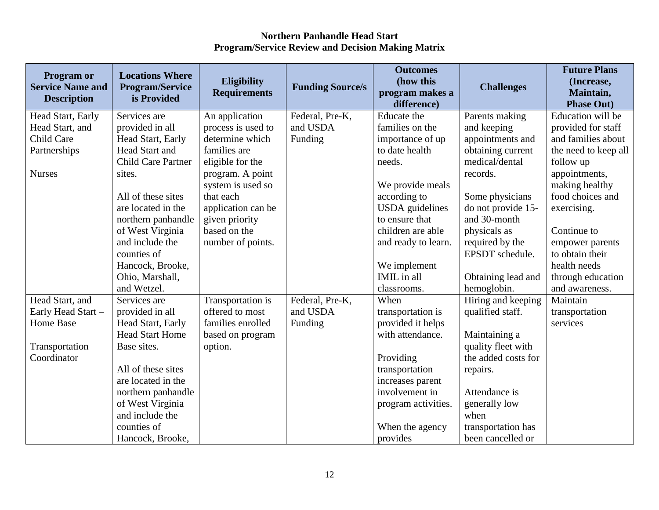| <b>Program or</b><br><b>Service Name and</b><br><b>Description</b> | <b>Locations Where</b><br><b>Program/Service</b><br>is Provided | Eligibility<br><b>Requirements</b> | <b>Funding Source/s</b> | <b>Outcomes</b><br>(how this<br>program makes a<br>difference) | <b>Challenges</b>   | <b>Future Plans</b><br>(Increase,<br>Maintain,<br><b>Phase Out)</b> |
|--------------------------------------------------------------------|-----------------------------------------------------------------|------------------------------------|-------------------------|----------------------------------------------------------------|---------------------|---------------------------------------------------------------------|
| Head Start, Early                                                  | Services are                                                    | An application                     | Federal, Pre-K,         | Educate the                                                    | Parents making      | Education will be                                                   |
| Head Start, and                                                    | provided in all                                                 | process is used to                 | and USDA                | families on the                                                | and keeping         | provided for staff                                                  |
| <b>Child Care</b>                                                  | Head Start, Early                                               | determine which                    | Funding                 | importance of up                                               | appointments and    | and families about                                                  |
| Partnerships                                                       | Head Start and                                                  | families are                       |                         | to date health                                                 | obtaining current   | the need to keep all                                                |
|                                                                    | <b>Child Care Partner</b>                                       | eligible for the                   |                         | needs.                                                         | medical/dental      | follow up                                                           |
| <b>Nurses</b>                                                      | sites.                                                          | program. A point                   |                         |                                                                | records.            | appointments,                                                       |
|                                                                    |                                                                 | system is used so                  |                         | We provide meals                                               |                     | making healthy                                                      |
|                                                                    | All of these sites                                              | that each                          |                         | according to                                                   | Some physicians     | food choices and                                                    |
|                                                                    | are located in the                                              | application can be                 |                         | <b>USDA</b> guidelines                                         | do not provide 15-  | exercising.                                                         |
|                                                                    | northern panhandle                                              | given priority                     |                         | to ensure that                                                 | and 30-month        |                                                                     |
|                                                                    | of West Virginia                                                | based on the                       |                         | children are able                                              | physicals as        | Continue to                                                         |
|                                                                    | and include the                                                 | number of points.                  |                         | and ready to learn.                                            | required by the     | empower parents                                                     |
|                                                                    | counties of                                                     |                                    |                         |                                                                | EPSDT schedule.     | to obtain their                                                     |
|                                                                    | Hancock, Brooke,                                                |                                    |                         | We implement                                                   |                     | health needs                                                        |
|                                                                    | Ohio, Marshall,                                                 |                                    |                         | IMIL in all                                                    | Obtaining lead and  | through education                                                   |
|                                                                    | and Wetzel.                                                     |                                    |                         | classrooms.                                                    | hemoglobin.         | and awareness.                                                      |
| Head Start, and                                                    | Services are                                                    | Transportation is                  | Federal, Pre-K,         | When                                                           | Hiring and keeping  | Maintain                                                            |
| Early Head Start -                                                 | provided in all                                                 | offered to most                    | and USDA                | transportation is                                              | qualified staff.    | transportation                                                      |
| <b>Home Base</b>                                                   | Head Start, Early                                               | families enrolled                  | Funding                 | provided it helps                                              |                     | services                                                            |
|                                                                    | <b>Head Start Home</b>                                          | based on program                   |                         | with attendance.                                               | Maintaining a       |                                                                     |
| Transportation                                                     | Base sites.                                                     | option.                            |                         |                                                                | quality fleet with  |                                                                     |
| Coordinator                                                        |                                                                 |                                    |                         | Providing                                                      | the added costs for |                                                                     |
|                                                                    | All of these sites                                              |                                    |                         | transportation                                                 | repairs.            |                                                                     |
|                                                                    | are located in the                                              |                                    |                         | increases parent                                               |                     |                                                                     |
|                                                                    | northern panhandle                                              |                                    |                         | involvement in                                                 | Attendance is       |                                                                     |
|                                                                    | of West Virginia                                                |                                    |                         | program activities.                                            | generally low       |                                                                     |
|                                                                    | and include the                                                 |                                    |                         |                                                                | when                |                                                                     |
|                                                                    | counties of                                                     |                                    |                         | When the agency                                                | transportation has  |                                                                     |
|                                                                    | Hancock, Brooke,                                                |                                    |                         | provides                                                       | been cancelled or   |                                                                     |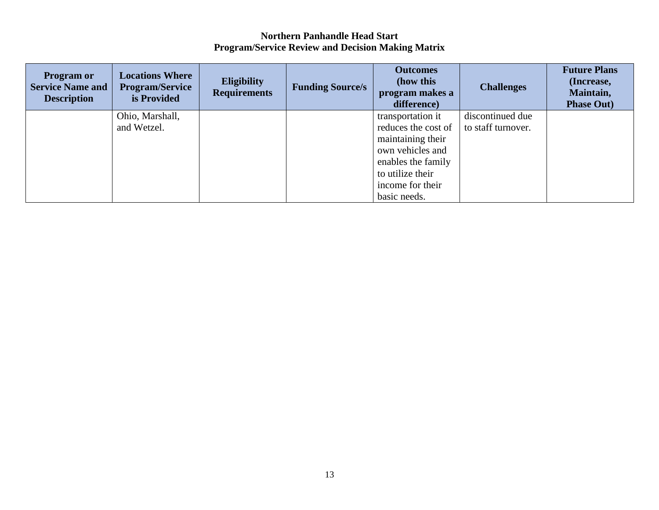| <b>Program or</b><br><b>Service Name and</b><br><b>Description</b> | <b>Locations Where</b><br><b>Program/Service</b><br>is Provided | <b>Eligibility</b><br><b>Requirements</b> | <b>Funding Source/s</b> | <b>Outcomes</b><br>(how this<br>program makes a<br>difference) | <b>Challenges</b>  | <b>Future Plans</b><br>(Increase,<br>Maintain,<br><b>Phase Out)</b> |
|--------------------------------------------------------------------|-----------------------------------------------------------------|-------------------------------------------|-------------------------|----------------------------------------------------------------|--------------------|---------------------------------------------------------------------|
|                                                                    | Ohio, Marshall,                                                 |                                           |                         | transportation it                                              | discontinued due   |                                                                     |
|                                                                    | and Wetzel.                                                     |                                           |                         | reduces the cost of                                            | to staff turnover. |                                                                     |
|                                                                    |                                                                 |                                           |                         | maintaining their                                              |                    |                                                                     |
|                                                                    |                                                                 |                                           |                         | own vehicles and                                               |                    |                                                                     |
|                                                                    |                                                                 |                                           |                         | enables the family                                             |                    |                                                                     |
|                                                                    |                                                                 |                                           |                         | to utilize their                                               |                    |                                                                     |
|                                                                    |                                                                 |                                           |                         | income for their                                               |                    |                                                                     |
|                                                                    |                                                                 |                                           |                         | basic needs.                                                   |                    |                                                                     |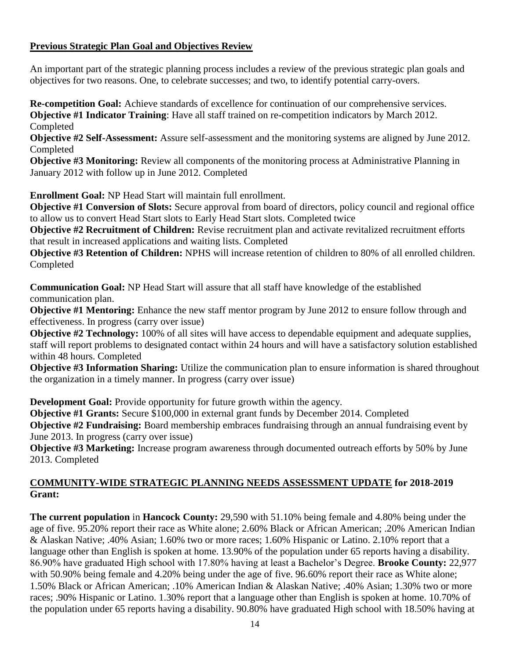## **Previous Strategic Plan Goal and Objectives Review**

An important part of the strategic planning process includes a review of the previous strategic plan goals and objectives for two reasons. One, to celebrate successes; and two, to identify potential carry-overs.

**Re-competition Goal:** Achieve standards of excellence for continuation of our comprehensive services. **Objective #1 Indicator Training**: Have all staff trained on re-competition indicators by March 2012. Completed

**Objective #2 Self-Assessment:** Assure self-assessment and the monitoring systems are aligned by June 2012. Completed

**Objective #3 Monitoring:** Review all components of the monitoring process at Administrative Planning in January 2012 with follow up in June 2012. Completed

**Enrollment Goal:** NP Head Start will maintain full enrollment.

**Objective #1 Conversion of Slots:** Secure approval from board of directors, policy council and regional office to allow us to convert Head Start slots to Early Head Start slots. Completed twice

**Objective #2 Recruitment of Children:** Revise recruitment plan and activate revitalized recruitment efforts that result in increased applications and waiting lists. Completed

**Objective #3 Retention of Children:** NPHS will increase retention of children to 80% of all enrolled children. Completed

**Communication Goal:** NP Head Start will assure that all staff have knowledge of the established communication plan.

**Objective #1 Mentoring:** Enhance the new staff mentor program by June 2012 to ensure follow through and effectiveness. In progress (carry over issue)

**Objective #2 Technology:** 100% of all sites will have access to dependable equipment and adequate supplies, staff will report problems to designated contact within 24 hours and will have a satisfactory solution established within 48 hours. Completed

**Objective #3 Information Sharing:** Utilize the communication plan to ensure information is shared throughout the organization in a timely manner. In progress (carry over issue)

**Development Goal:** Provide opportunity for future growth within the agency.

**Objective #1 Grants:** Secure \$100,000 in external grant funds by December 2014. Completed

**Objective #2 Fundraising:** Board membership embraces fundraising through an annual fundraising event by June 2013. In progress (carry over issue)

**Objective #3 Marketing:** Increase program awareness through documented outreach efforts by 50% by June 2013. Completed

## **COMMUNITY-WIDE STRATEGIC PLANNING NEEDS ASSESSMENT UPDATE for 2018-2019 Grant:**

**The current population** in **Hancock County:** 29,590 with 51.10% being female and 4.80% being under the age of five. 95.20% report their race as White alone; 2.60% Black or African American; .20% American Indian & Alaskan Native; .40% Asian; 1.60% two or more races; 1.60% Hispanic or Latino. 2.10% report that a language other than English is spoken at home. 13.90% of the population under 65 reports having a disability. 86.90% have graduated High school with 17.80% having at least a Bachelor's Degree. **Brooke County:** 22,977 with 50.90% being female and 4.20% being under the age of five. 96.60% report their race as White alone; 1.50% Black or African American; .10% American Indian & Alaskan Native; .40% Asian; 1.30% two or more races; .90% Hispanic or Latino. 1.30% report that a language other than English is spoken at home. 10.70% of the population under 65 reports having a disability. 90.80% have graduated High school with 18.50% having at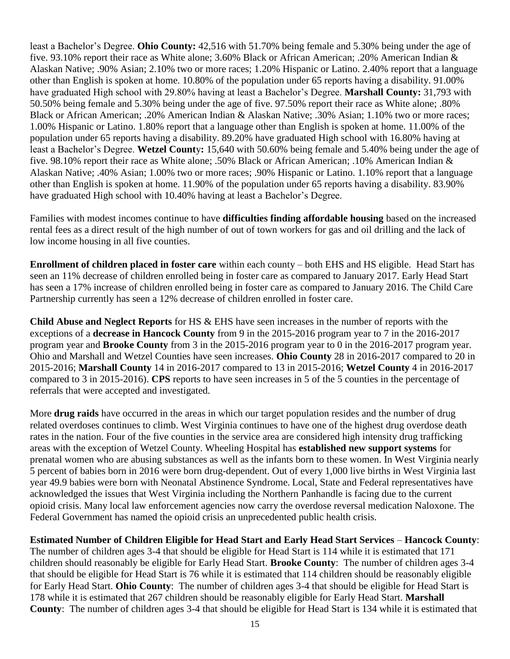least a Bachelor's Degree. **Ohio County:** 42,516 with 51.70% being female and 5.30% being under the age of five. 93.10% report their race as White alone; 3.60% Black or African American; .20% American Indian & Alaskan Native; .90% Asian; 2.10% two or more races; 1.20% Hispanic or Latino. 2.40% report that a language other than English is spoken at home. 10.80% of the population under 65 reports having a disability. 91.00% have graduated High school with 29.80% having at least a Bachelor's Degree. **Marshall County:** 31,793 with 50.50% being female and 5.30% being under the age of five. 97.50% report their race as White alone; .80% Black or African American; .20% American Indian & Alaskan Native; .30% Asian; 1.10% two or more races; 1.00% Hispanic or Latino. 1.80% report that a language other than English is spoken at home. 11.00% of the population under 65 reports having a disability. 89.20% have graduated High school with 16.80% having at least a Bachelor's Degree. **Wetzel Count**y**:** 15,640 with 50.60% being female and 5.40% being under the age of five. 98.10% report their race as White alone; .50% Black or African American; .10% American Indian & Alaskan Native; .40% Asian; 1.00% two or more races; .90% Hispanic or Latino. 1.10% report that a language other than English is spoken at home. 11.90% of the population under 65 reports having a disability. 83.90% have graduated High school with 10.40% having at least a Bachelor's Degree.

Families with modest incomes continue to have **difficulties finding affordable housing** based on the increased rental fees as a direct result of the high number of out of town workers for gas and oil drilling and the lack of low income housing in all five counties.

**Enrollment of children placed in foster care** within each county – both EHS and HS eligible. Head Start has seen an 11% decrease of children enrolled being in foster care as compared to January 2017. Early Head Start has seen a 17% increase of children enrolled being in foster care as compared to January 2016. The Child Care Partnership currently has seen a 12% decrease of children enrolled in foster care.

**Child Abuse and Neglect Reports** for HS & EHS have seen increases in the number of reports with the exceptions of a **decrease in Hancock County** from 9 in the 2015-2016 program year to 7 in the 2016-2017 program year and **Brooke County** from 3 in the 2015-2016 program year to 0 in the 2016-2017 program year. Ohio and Marshall and Wetzel Counties have seen increases. **Ohio County** 28 in 2016-2017 compared to 20 in 2015-2016; **Marshall County** 14 in 2016-2017 compared to 13 in 2015-2016; **Wetzel County** 4 in 2016-2017 compared to 3 in 2015-2016). **CPS** reports to have seen increases in 5 of the 5 counties in the percentage of referrals that were accepted and investigated.

More **drug raids** have occurred in the areas in which our target population resides and the number of drug related overdoses continues to climb. West Virginia continues to have one of the highest drug overdose death rates in the nation. Four of the five counties in the service area are considered high intensity drug trafficking areas with the exception of Wetzel County. Wheeling Hospital has **established new support systems** for prenatal women who are abusing substances as well as the infants born to these women. In West Virginia nearly 5 percent of babies born in 2016 were born drug-dependent. Out of every 1,000 live births in West Virginia last year 49.9 babies were born with Neonatal Abstinence Syndrome. Local, State and Federal representatives have acknowledged the issues that West Virginia including the Northern Panhandle is facing due to the current opioid crisis. Many local law enforcement agencies now carry the overdose reversal medication Naloxone. The Federal Government has named the opioid crisis an unprecedented public health crisis.

**Estimated Number of Children Eligible for Head Start and Early Head Start Services** *–* **Hancock County**: The number of children ages 3-4 that should be eligible for Head Start is 114 while it is estimated that 171 children should reasonably be eligible for Early Head Start. **Brooke County**:The number of children ages 3-4 that should be eligible for Head Start is 76 while it is estimated that 114 children should be reasonably eligible for Early Head Start. **Ohio County**:The number of children ages 3-4 that should be eligible for Head Start is 178 while it is estimated that 267 children should be reasonably eligible for Early Head Start. **Marshall County**:The number of children ages 3-4 that should be eligible for Head Start is 134 while it is estimated that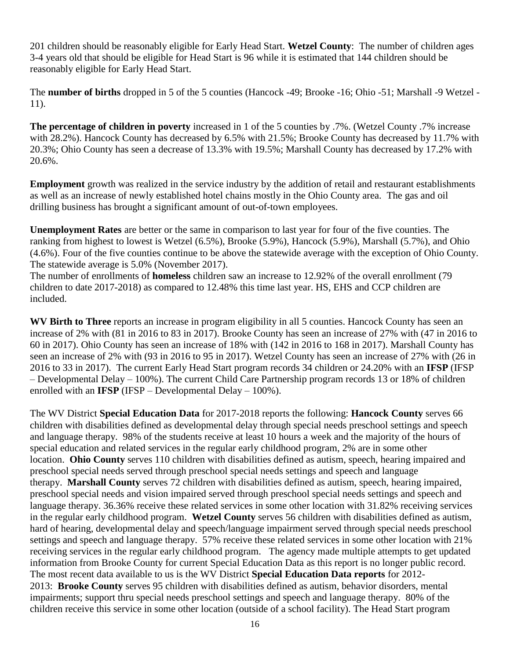201 children should be reasonably eligible for Early Head Start. **Wetzel County**:The number of children ages 3-4 years old that should be eligible for Head Start is 96 while it is estimated that 144 children should be reasonably eligible for Early Head Start.

The **number of births** dropped in 5 of the 5 counties (Hancock -49; Brooke -16; Ohio -51; Marshall -9 Wetzel - 11).

**The percentage of children in poverty** increased in 1 of the 5 counties by .7%. (Wetzel County .7% increase with 28.2%). Hancock County has decreased by 6.5% with 21.5%; Brooke County has decreased by 11.7% with 20.3%; Ohio County has seen a decrease of 13.3% with 19.5%; Marshall County has decreased by 17.2% with 20.6%.

**Employment** growth was realized in the service industry by the addition of retail and restaurant establishments as well as an increase of newly established hotel chains mostly in the Ohio County area. The gas and oil drilling business has brought a significant amount of out-of-town employees.

**Unemployment Rates** are better or the same in comparison to last year for four of the five counties. The ranking from highest to lowest is Wetzel (6.5%), Brooke (5.9%), Hancock (5.9%), Marshall (5.7%), and Ohio (4.6%). Four of the five counties continue to be above the statewide average with the exception of Ohio County. The statewide average is 5.0% (November 2017).

The number of enrollments of **homeless** children saw an increase to 12.92% of the overall enrollment (79 children to date 2017-2018) as compared to 12.48% this time last year. HS, EHS and CCP children are included.

**WV Birth to Three** reports an increase in program eligibility in all 5 counties. Hancock County has seen an increase of 2% with (81 in 2016 to 83 in 2017). Brooke County has seen an increase of 27% with (47 in 2016 to 60 in 2017). Ohio County has seen an increase of 18% with (142 in 2016 to 168 in 2017). Marshall County has seen an increase of 2% with (93 in 2016 to 95 in 2017). Wetzel County has seen an increase of 27% with (26 in 2016 to 33 in 2017). The current Early Head Start program records 34 children or 24.20% with an **IFSP** (IFSP – Developmental Delay – 100%). The current Child Care Partnership program records 13 or 18% of children enrolled with an **IFSP** (IFSP – Developmental Delay – 100%).

The WV District **Special Education Data** for 2017-2018 reports the following: **Hancock County** serves 66 children with disabilities defined as developmental delay through special needs preschool settings and speech and language therapy. 98% of the students receive at least 10 hours a week and the majority of the hours of special education and related services in the regular early childhood program, 2% are in some other location. **Ohio County** serves 110 children with disabilities defined as autism, speech, hearing impaired and preschool special needs served through preschool special needs settings and speech and language therapy. **Marshall County** serves 72 children with disabilities defined as autism, speech, hearing impaired, preschool special needs and vision impaired served through preschool special needs settings and speech and language therapy. 36.36% receive these related services in some other location with 31.82% receiving services in the regular early childhood program. **Wetzel County** serves 56 children with disabilities defined as autism, hard of hearing, developmental delay and speech/language impairment served through special needs preschool settings and speech and language therapy. 57% receive these related services in some other location with 21% receiving services in the regular early childhood program.The agency made multiple attempts to get updated information from Brooke County for current Special Education Data as this report is no longer public record. The most recent data available to us is the WV District **Special Education Data reports** for 2012- 2013: **Brooke County** serves 95 children with disabilities defined as autism, behavior disorders, mental impairments; support thru special needs preschool settings and speech and language therapy. 80% of the children receive this service in some other location (outside of a school facility). The Head Start program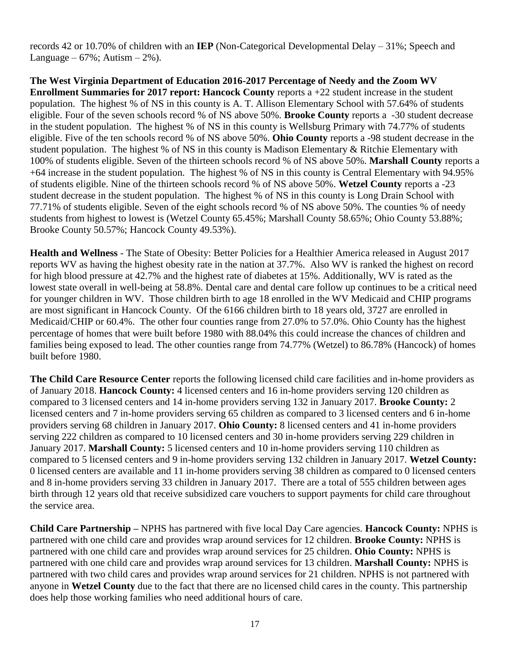records 42 or 10.70% of children with an **IEP** (Non-Categorical Developmental Delay – 31%; Speech and Language –  $67\%$ ; Autism –  $2\%$ ).

**The West Virginia Department of Education 2016-2017 Percentage of Needy and the Zoom WV Enrollment Summaries for 2017 report: Hancock County** reports a +22 student increase in the student population. The highest % of NS in this county is A. T. Allison Elementary School with 57.64% of students eligible. Four of the seven schools record % of NS above 50%. **Brooke County** reports a -30 student decrease in the student population. The highest % of NS in this county is Wellsburg Primary with 74.77% of students eligible. Five of the ten schools record % of NS above 50%. **Ohio County** reports a -98 student decrease in the student population. The highest % of NS in this county is Madison Elementary & Ritchie Elementary with 100% of students eligible. Seven of the thirteen schools record % of NS above 50%. **Marshall County** reports a +64 increase in the student population. The highest % of NS in this county is Central Elementary with 94.95% of students eligible. Nine of the thirteen schools record % of NS above 50%. **Wetzel County** reports a -23 student decrease in the student population. The highest % of NS in this county is Long Drain School with 77.71% of students eligible. Seven of the eight schools record % of NS above 50%. The counties % of needy students from highest to lowest is (Wetzel County 65.45%; Marshall County 58.65%; Ohio County 53.88%; Brooke County 50.57%; Hancock County 49.53%).

**Health and Wellness** - The State of Obesity: Better Policies for a Healthier America released in August 2017 reports WV as having the highest obesity rate in the nation at 37.7%. Also WV is ranked the highest on record for high blood pressure at 42.7% and the highest rate of diabetes at 15%. Additionally, WV is rated as the lowest state overall in well-being at 58.8%. Dental care and dental care follow up continues to be a critical need for younger children in WV. Those children birth to age 18 enrolled in the WV Medicaid and CHIP programs are most significant in Hancock County. Of the 6166 children birth to 18 years old, 3727 are enrolled in Medicaid/CHIP or 60.4%. The other four counties range from 27.0% to 57.0%. Ohio County has the highest percentage of homes that were built before 1980 with 88.04% this could increase the chances of children and families being exposed to lead. The other counties range from 74.77% (Wetzel) to 86.78% (Hancock) of homes built before 1980.

**The Child Care Resource Center** reports the following licensed child care facilities and in-home providers as of January 2018. **Hancock County:** 4 licensed centers and 16 in-home providers serving 120 children as compared to 3 licensed centers and 14 in-home providers serving 132 in January 2017. **Brooke County:** 2 licensed centers and 7 in-home providers serving 65 children as compared to 3 licensed centers and 6 in-home providers serving 68 children in January 2017. **Ohio County:** 8 licensed centers and 41 in-home providers serving 222 children as compared to 10 licensed centers and 30 in-home providers serving 229 children in January 2017. **Marshall County:** 5 licensed centers and 10 in-home providers serving 110 children as compared to 5 licensed centers and 9 in-home providers serving 132 children in January 2017. **Wetzel County:**  0 licensed centers are available and 11 in-home providers serving 38 children as compared to 0 licensed centers and 8 in-home providers serving 33 children in January 2017. There are a total of 555 children between ages birth through 12 years old that receive subsidized care vouchers to support payments for child care throughout the service area.

**Child Care Partnership –** NPHS has partnered with five local Day Care agencies. **Hancock County:** NPHS is partnered with one child care and provides wrap around services for 12 children. **Brooke County:** NPHS is partnered with one child care and provides wrap around services for 25 children. **Ohio County:** NPHS is partnered with one child care and provides wrap around services for 13 children. **Marshall County:** NPHS is partnered with two child cares and provides wrap around services for 21 children. NPHS is not partnered with anyone in **Wetzel County** due to the fact that there are no licensed child cares in the county. This partnership does help those working families who need additional hours of care.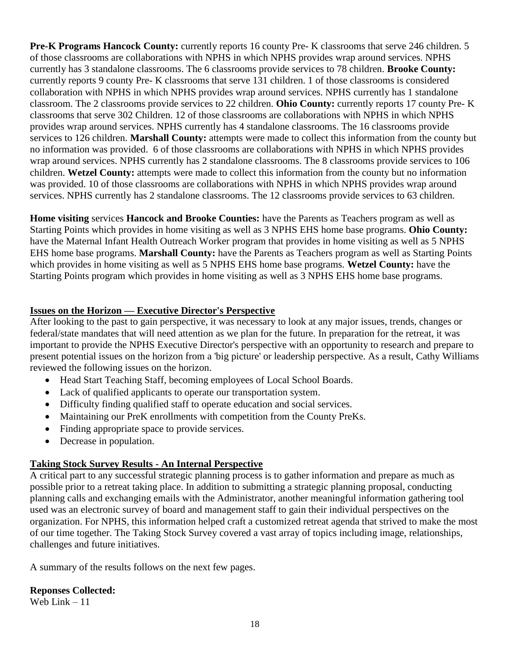**Pre-K Programs Hancock County:** currently reports 16 county Pre- K classrooms that serve 246 children. 5 of those classrooms are collaborations with NPHS in which NPHS provides wrap around services. NPHS currently has 3 standalone classrooms. The 6 classrooms provide services to 78 children. **Brooke County:** currently reports 9 county Pre- K classrooms that serve 131 children. 1 of those classrooms is considered collaboration with NPHS in which NPHS provides wrap around services. NPHS currently has 1 standalone classroom. The 2 classrooms provide services to 22 children. **Ohio County:** currently reports 17 county Pre- K classrooms that serve 302 Children. 12 of those classrooms are collaborations with NPHS in which NPHS provides wrap around services. NPHS currently has 4 standalone classrooms. The 16 classrooms provide services to 126 children. **Marshall County:** attempts were made to collect this information from the county but no information was provided. 6 of those classrooms are collaborations with NPHS in which NPHS provides wrap around services. NPHS currently has 2 standalone classrooms. The 8 classrooms provide services to 106 children. **Wetzel County:** attempts were made to collect this information from the county but no information was provided. 10 of those classrooms are collaborations with NPHS in which NPHS provides wrap around services. NPHS currently has 2 standalone classrooms. The 12 classrooms provide services to 63 children.

**Home visiting** services **Hancock and Brooke Counties:** have the Parents as Teachers program as well as Starting Points which provides in home visiting as well as 3 NPHS EHS home base programs. **Ohio County:** have the Maternal Infant Health Outreach Worker program that provides in home visiting as well as 5 NPHS EHS home base programs. **Marshall County:** have the Parents as Teachers program as well as Starting Points which provides in home visiting as well as 5 NPHS EHS home base programs. **Wetzel County:** have the Starting Points program which provides in home visiting as well as 3 NPHS EHS home base programs.

## **Issues on the Horizon — Executive Director's Perspective**

After looking to the past to gain perspective, it was necessary to look at any major issues, trends, changes or federal/state mandates that will need attention as we plan for the future. In preparation for the retreat, it was important to provide the NPHS Executive Director's perspective with an opportunity to research and prepare to present potential issues on the horizon from a 'big picture' or leadership perspective. As a result, Cathy Williams reviewed the following issues on the horizon.

- Head Start Teaching Staff, becoming employees of Local School Boards.
- Lack of qualified applicants to operate our transportation system.
- Difficulty finding qualified staff to operate education and social services.
- Maintaining our PreK enrollments with competition from the County PreKs.
- Finding appropriate space to provide services.
- Decrease in population.

# **Taking Stock Survey Results - An Internal Perspective**

A critical part to any successful strategic planning process is to gather information and prepare as much as possible prior to a retreat taking place. In addition to submitting a strategic planning proposal, conducting planning calls and exchanging emails with the Administrator, another meaningful information gathering tool used was an electronic survey of board and management staff to gain their individual perspectives on the organization. For NPHS, this information helped craft a customized retreat agenda that strived to make the most of our time together. The Taking Stock Survey covered a vast array of topics including image, relationships, challenges and future initiatives.

A summary of the results follows on the next few pages.

# **Reponses Collected:**

Web Link – 11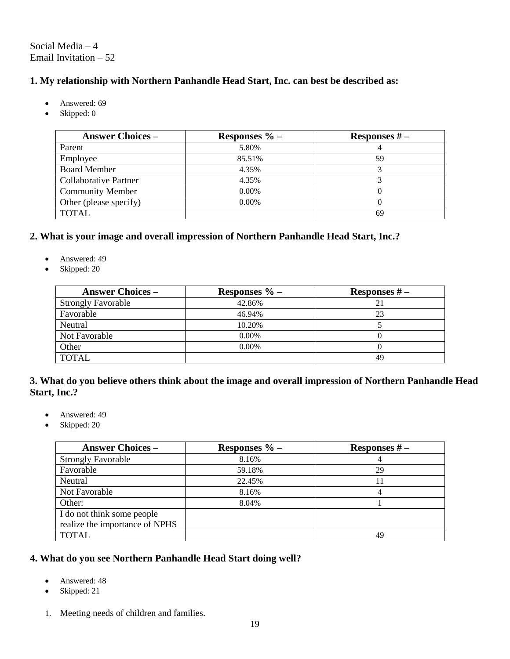Social Media – 4 Email Invitation – 52

### **1. My relationship with Northern Panhandle Head Start, Inc. can best be described as:**

- Answered: 69
- Skipped: 0

| <b>Answer Choices –</b>      | Responses $\%$ – | Responses $#$ – |
|------------------------------|------------------|-----------------|
| Parent                       | 5.80%            |                 |
| Employee                     | 85.51%           | 59              |
| <b>Board Member</b>          | 4.35%            |                 |
| <b>Collaborative Partner</b> | 4.35%            |                 |
| <b>Community Member</b>      | $0.00\%$         |                 |
| Other (please specify)       | $0.00\%$         |                 |
| <b>TOTAL</b>                 |                  | 69              |

### **2. What is your image and overall impression of Northern Panhandle Head Start, Inc.?**

- Answered: 49
- Skipped: 20

| <b>Answer Choices –</b>   | Responses $\%$ – | Responses $#$ – |
|---------------------------|------------------|-----------------|
| <b>Strongly Favorable</b> | 42.86%           | 21              |
| Favorable                 | 46.94%           | 23              |
| Neutral                   | 10.20%           |                 |
| Not Favorable             | $0.00\%$         |                 |
| Other                     | $0.00\%$         |                 |
| <b>TOTAL</b>              |                  | 49              |

#### **3. What do you believe others think about the image and overall impression of Northern Panhandle Head Start, Inc.?**

- Answered: 49
- Skipped: 20

| <b>Answer Choices –</b>        | Responses $\%$ – | Responses $#$ – |
|--------------------------------|------------------|-----------------|
| <b>Strongly Favorable</b>      | 8.16%            |                 |
| Favorable                      | 59.18%           | 29              |
| Neutral                        | 22.45%           | 11              |
| Not Favorable                  | 8.16%            | 4               |
| Other:                         | 8.04%            |                 |
| I do not think some people     |                  |                 |
| realize the importance of NPHS |                  |                 |
| <b>TOTAL</b>                   |                  | 49              |

#### **4. What do you see Northern Panhandle Head Start doing well?**

- Answered: 48
- Skipped: 21
- 1. Meeting needs of children and families.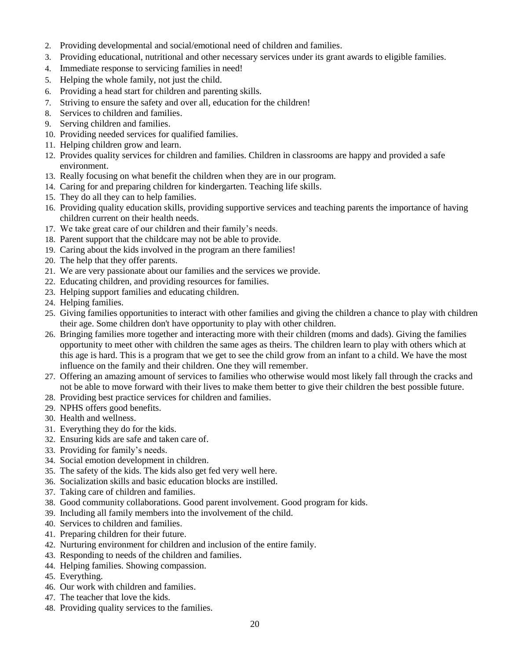- 2. Providing developmental and social/emotional need of children and families.
- 3. Providing educational, nutritional and other necessary services under its grant awards to eligible families.
- 4. Immediate response to servicing families in need!
- 5. Helping the whole family, not just the child.
- 6. Providing a head start for children and parenting skills.
- 7. Striving to ensure the safety and over all, education for the children!
- 8. Services to children and families.
- 9. Serving children and families.
- 10. Providing needed services for qualified families.
- 11. Helping children grow and learn.
- 12. Provides quality services for children and families. Children in classrooms are happy and provided a safe environment.
- 13. Really focusing on what benefit the children when they are in our program.
- 14. Caring for and preparing children for kindergarten. Teaching life skills.
- 15. They do all they can to help families.
- 16. Providing quality education skills, providing supportive services and teaching parents the importance of having children current on their health needs.
- 17. We take great care of our children and their family's needs.
- 18. Parent support that the childcare may not be able to provide.
- 19. Caring about the kids involved in the program an there families!
- 20. The help that they offer parents.
- 21. We are very passionate about our families and the services we provide.
- 22. Educating children, and providing resources for families.
- 23. Helping support families and educating children.
- 24. Helping families.
- 25. Giving families opportunities to interact with other families and giving the children a chance to play with children their age. Some children don't have opportunity to play with other children.
- 26. Bringing families more together and interacting more with their children (moms and dads). Giving the families opportunity to meet other with children the same ages as theirs. The children learn to play with others which at this age is hard. This is a program that we get to see the child grow from an infant to a child. We have the most influence on the family and their children. One they will remember.
- 27. Offering an amazing amount of services to families who otherwise would most likely fall through the cracks and not be able to move forward with their lives to make them better to give their children the best possible future.
- 28. Providing best practice services for children and families.
- 29. NPHS offers good benefits.
- 30. Health and wellness.
- 31. Everything they do for the kids.
- 32. Ensuring kids are safe and taken care of.
- 33. Providing for family's needs.
- 34. Social emotion development in children.
- 35. The safety of the kids. The kids also get fed very well here.
- 36. Socialization skills and basic education blocks are instilled.
- 37. Taking care of children and families.
- 38. Good community collaborations. Good parent involvement. Good program for kids.
- 39. Including all family members into the involvement of the child.
- 40. Services to children and families.
- 41. Preparing children for their future.
- 42. Nurturing environment for children and inclusion of the entire family.
- 43. Responding to needs of the children and families.
- 44. Helping families. Showing compassion.
- 45. Everything.
- 46. Our work with children and families.
- 47. The teacher that love the kids.
- 48. Providing quality services to the families.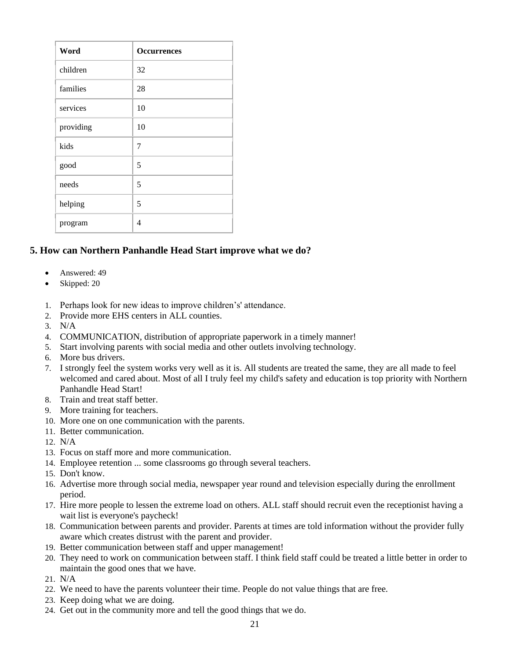| Word      | <b>Occurrences</b> |
|-----------|--------------------|
| children  | 32                 |
| families  | 28                 |
| services  | 10                 |
| providing | 10                 |
| kids      | 7                  |
| good      | 5                  |
| needs     | 5                  |
| helping   | 5                  |
| program   | 4                  |

## **5. How can Northern Panhandle Head Start improve what we do?**

- Answered: 49
- Skipped: 20
- 1. Perhaps look for new ideas to improve children's' attendance.
- 2. Provide more EHS centers in ALL counties.
- 3. N/A
- 4. COMMUNICATION, distribution of appropriate paperwork in a timely manner!
- 5. Start involving parents with social media and other outlets involving technology.
- 6. More bus drivers.
- 7. I strongly feel the system works very well as it is. All students are treated the same, they are all made to feel welcomed and cared about. Most of all I truly feel my child's safety and education is top priority with Northern Panhandle Head Start!
- 8. Train and treat staff better.
- 9. More training for teachers.
- 10. More one on one communication with the parents.
- 11. Better communication.
- 12. N/A
- 13. Focus on staff more and more communication.
- 14. Employee retention ... some classrooms go through several teachers.
- 15. Don't know.
- 16. Advertise more through social media, newspaper year round and television especially during the enrollment period.
- 17. Hire more people to lessen the extreme load on others. ALL staff should recruit even the receptionist having a wait list is everyone's paycheck!
- 18. Communication between parents and provider. Parents at times are told information without the provider fully aware which creates distrust with the parent and provider.
- 19. Better communication between staff and upper management!
- 20. They need to work on communication between staff. I think field staff could be treated a little better in order to maintain the good ones that we have.
- 21. N/A
- 22. We need to have the parents volunteer their time. People do not value things that are free.
- 23. Keep doing what we are doing.
- 24. Get out in the community more and tell the good things that we do.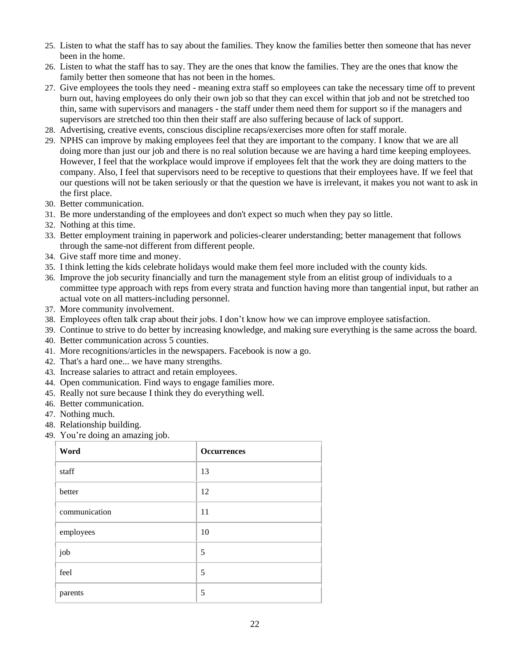- 25. Listen to what the staff has to say about the families. They know the families better then someone that has never been in the home.
- 26. Listen to what the staff has to say. They are the ones that know the families. They are the ones that know the family better then someone that has not been in the homes.
- 27. Give employees the tools they need meaning extra staff so employees can take the necessary time off to prevent burn out, having employees do only their own job so that they can excel within that job and not be stretched too thin, same with supervisors and managers - the staff under them need them for support so if the managers and supervisors are stretched too thin then their staff are also suffering because of lack of support.
- 28. Advertising, creative events, conscious discipline recaps/exercises more often for staff morale.
- 29. NPHS can improve by making employees feel that they are important to the company. I know that we are all doing more than just our job and there is no real solution because we are having a hard time keeping employees. However, I feel that the workplace would improve if employees felt that the work they are doing matters to the company. Also, I feel that supervisors need to be receptive to questions that their employees have. If we feel that our questions will not be taken seriously or that the question we have is irrelevant, it makes you not want to ask in the first place.
- 30. Better communication.
- 31. Be more understanding of the employees and don't expect so much when they pay so little.
- 32. Nothing at this time.
- 33. Better employment training in paperwork and policies-clearer understanding; better management that follows through the same-not different from different people.
- 34. Give staff more time and money.
- 35. I think letting the kids celebrate holidays would make them feel more included with the county kids.
- 36. Improve the job security financially and turn the management style from an elitist group of individuals to a committee type approach with reps from every strata and function having more than tangential input, but rather an actual vote on all matters-including personnel.
- 37. More community involvement.
- 38. Employees often talk crap about their jobs. I don't know how we can improve employee satisfaction.
- 39. Continue to strive to do better by increasing knowledge, and making sure everything is the same across the board.
- 40. Better communication across 5 counties.
- 41. More recognitions/articles in the newspapers. Facebook is now a go.
- 42. That's a hard one... we have many strengths.
- 43. Increase salaries to attract and retain employees.
- 44. Open communication. Find ways to engage families more.
- 45. Really not sure because I think they do everything well.
- 46. Better communication.
- 47. Nothing much.
- 48. Relationship building.
- 49. You're doing an amazing job.

| Word          | <b>Occurrences</b> |
|---------------|--------------------|
| staff         | 13                 |
| better        | 12                 |
| communication | 11                 |
| employees     | 10                 |
| job           | 5                  |
| feel          | 5                  |
| parents       | 5                  |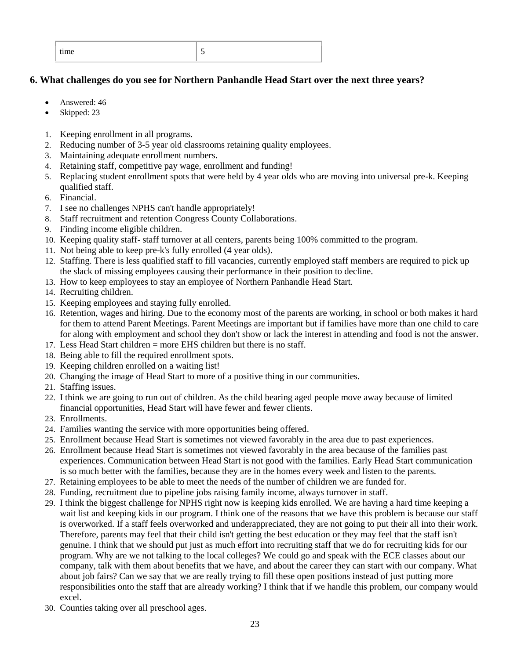| $\overline{\phantom{0}}$<br>time<br>-<br>ັ |  |
|--------------------------------------------|--|
|--------------------------------------------|--|

## **6. What challenges do you see for Northern Panhandle Head Start over the next three years?**

- Answered: 46
- Skipped: 23
- 1. Keeping enrollment in all programs.
- 2. Reducing number of 3-5 year old classrooms retaining quality employees.
- 3. Maintaining adequate enrollment numbers.
- 4. Retaining staff, competitive pay wage, enrollment and funding!
- 5. Replacing student enrollment spots that were held by 4 year olds who are moving into universal pre-k. Keeping qualified staff.
- 6. Financial.
- 7. I see no challenges NPHS can't handle appropriately!
- 8. Staff recruitment and retention Congress County Collaborations.
- 9. Finding income eligible children.
- 10. Keeping quality staff- staff turnover at all centers, parents being 100% committed to the program.
- 11. Not being able to keep pre-k's fully enrolled (4 year olds).
- 12. Staffing. There is less qualified staff to fill vacancies, currently employed staff members are required to pick up the slack of missing employees causing their performance in their position to decline.
- 13. How to keep employees to stay an employee of Northern Panhandle Head Start.
- 14. Recruiting children.
- 15. Keeping employees and staying fully enrolled.
- 16. Retention, wages and hiring. Due to the economy most of the parents are working, in school or both makes it hard for them to attend Parent Meetings. Parent Meetings are important but if families have more than one child to care for along with employment and school they don't show or lack the interest in attending and food is not the answer.
- 17. Less Head Start children = more EHS children but there is no staff.
- 18. Being able to fill the required enrollment spots.
- 19. Keeping children enrolled on a waiting list!
- 20. Changing the image of Head Start to more of a positive thing in our communities.
- 21. Staffing issues.
- 22. I think we are going to run out of children. As the child bearing aged people move away because of limited financial opportunities, Head Start will have fewer and fewer clients.
- 23. Enrollments.
- 24. Families wanting the service with more opportunities being offered.
- 25. Enrollment because Head Start is sometimes not viewed favorably in the area due to past experiences.
- 26. Enrollment because Head Start is sometimes not viewed favorably in the area because of the families past experiences. Communication between Head Start is not good with the families. Early Head Start communication is so much better with the families, because they are in the homes every week and listen to the parents.
- 27. Retaining employees to be able to meet the needs of the number of children we are funded for.
- 28. Funding, recruitment due to pipeline jobs raising family income, always turnover in staff.
- 29. I think the biggest challenge for NPHS right now is keeping kids enrolled. We are having a hard time keeping a wait list and keeping kids in our program. I think one of the reasons that we have this problem is because our staff is overworked. If a staff feels overworked and underappreciated, they are not going to put their all into their work. Therefore, parents may feel that their child isn't getting the best education or they may feel that the staff isn't genuine. I think that we should put just as much effort into recruiting staff that we do for recruiting kids for our program. Why are we not talking to the local colleges? We could go and speak with the ECE classes about our company, talk with them about benefits that we have, and about the career they can start with our company. What about job fairs? Can we say that we are really trying to fill these open positions instead of just putting more responsibilities onto the staff that are already working? I think that if we handle this problem, our company would excel.
- 30. Counties taking over all preschool ages.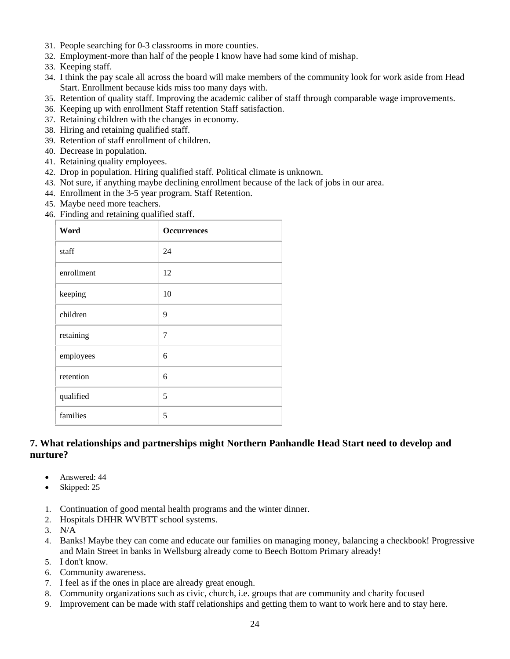- 31. People searching for 0-3 classrooms in more counties.
- 32. Employment-more than half of the people I know have had some kind of mishap.
- 33. Keeping staff.
- 34. I think the pay scale all across the board will make members of the community look for work aside from Head Start. Enrollment because kids miss too many days with.
- 35. Retention of quality staff. Improving the academic caliber of staff through comparable wage improvements.
- 36. Keeping up with enrollment Staff retention Staff satisfaction.
- 37. Retaining children with the changes in economy.
- 38. Hiring and retaining qualified staff.
- 39. Retention of staff enrollment of children.
- 40. Decrease in population.
- 41. Retaining quality employees.
- 42. Drop in population. Hiring qualified staff. Political climate is unknown.
- 43. Not sure, if anything maybe declining enrollment because of the lack of jobs in our area.
- 44. Enrollment in the 3-5 year program. Staff Retention.
- 45. Maybe need more teachers.
- 46. Finding and retaining qualified staff.

| Word       | <b>Occurrences</b> |
|------------|--------------------|
| staff      | 24                 |
| enrollment | 12                 |
| keeping    | 10                 |
| children   | 9                  |
| retaining  | 7                  |
| employees  | 6                  |
| retention  | 6                  |
| qualified  | 5                  |
| families   | 5                  |

### **7. What relationships and partnerships might Northern Panhandle Head Start need to develop and nurture?**

- Answered: 44
- Skipped: 25
- 1. Continuation of good mental health programs and the winter dinner.
- 2. Hospitals DHHR WVBTT school systems.
- 3. N/A
- 4. Banks! Maybe they can come and educate our families on managing money, balancing a checkbook! Progressive and Main Street in banks in Wellsburg already come to Beech Bottom Primary already!
- 5. I don't know.
- 6. Community awareness.
- 7. I feel as if the ones in place are already great enough.
- 8. Community organizations such as civic, church, i.e. groups that are community and charity focused
- 9. Improvement can be made with staff relationships and getting them to want to work here and to stay here.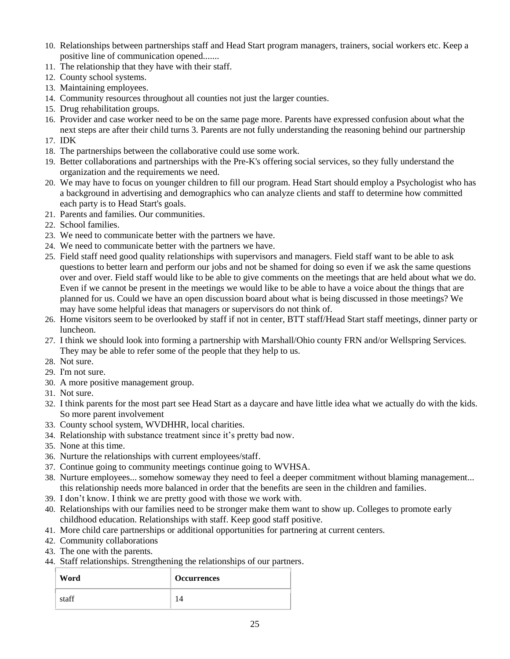- 10. Relationships between partnerships staff and Head Start program managers, trainers, social workers etc. Keep a positive line of communication opened.......
- 11. The relationship that they have with their staff.
- 12. County school systems.
- 13. Maintaining employees.
- 14. Community resources throughout all counties not just the larger counties.
- 15. Drug rehabilitation groups.
- 16. Provider and case worker need to be on the same page more. Parents have expressed confusion about what the next steps are after their child turns 3. Parents are not fully understanding the reasoning behind our partnership
- 17. IDK
- 18. The partnerships between the collaborative could use some work.
- 19. Better collaborations and partnerships with the Pre-K's offering social services, so they fully understand the organization and the requirements we need.
- 20. We may have to focus on younger children to fill our program. Head Start should employ a Psychologist who has a background in advertising and demographics who can analyze clients and staff to determine how committed each party is to Head Start's goals.
- 21. Parents and families. Our communities.
- 22. School families.
- 23. We need to communicate better with the partners we have.
- 24. We need to communicate better with the partners we have.
- 25. Field staff need good quality relationships with supervisors and managers. Field staff want to be able to ask questions to better learn and perform our jobs and not be shamed for doing so even if we ask the same questions over and over. Field staff would like to be able to give comments on the meetings that are held about what we do. Even if we cannot be present in the meetings we would like to be able to have a voice about the things that are planned for us. Could we have an open discussion board about what is being discussed in those meetings? We may have some helpful ideas that managers or supervisors do not think of.
- 26. Home visitors seem to be overlooked by staff if not in center, BTT staff/Head Start staff meetings, dinner party or luncheon.
- 27. I think we should look into forming a partnership with Marshall/Ohio county FRN and/or Wellspring Services. They may be able to refer some of the people that they help to us.
- 28. Not sure.
- 29. I'm not sure.
- 30. A more positive management group.
- 31. Not sure.
- 32. I think parents for the most part see Head Start as a daycare and have little idea what we actually do with the kids. So more parent involvement
- 33. County school system, WVDHHR, local charities.
- 34. Relationship with substance treatment since it's pretty bad now.
- 35. None at this time.
- 36. Nurture the relationships with current employees/staff.
- 37. Continue going to community meetings continue going to WVHSA.
- 38. Nurture employees... somehow someway they need to feel a deeper commitment without blaming management... this relationship needs more balanced in order that the benefits are seen in the children and families.
- 39. I don't know. I think we are pretty good with those we work with.
- 40. Relationships with our families need to be stronger make them want to show up. Colleges to promote early childhood education. Relationships with staff. Keep good staff positive.
- 41. More child care partnerships or additional opportunities for partnering at current centers.
- 42. Community collaborations
- 43. The one with the parents.
- 44. Staff relationships. Strengthening the relationships of our partners.

| Word  | <b>Occurrences</b> |
|-------|--------------------|
| staff |                    |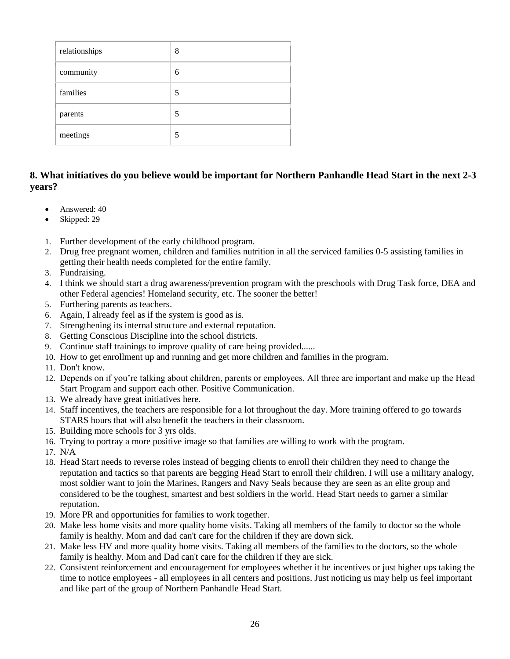| relationships | 8 |
|---------------|---|
| community     | 6 |
| families      | 5 |
| parents       | 5 |
| meetings      | 5 |

## **8. What initiatives do you believe would be important for Northern Panhandle Head Start in the next 2-3 years?**

- Answered: 40
- Skipped: 29
- 1. Further development of the early childhood program.
- 2. Drug free pregnant women, children and families nutrition in all the serviced families 0-5 assisting families in getting their health needs completed for the entire family.
- 3. Fundraising.
- 4. I think we should start a drug awareness/prevention program with the preschools with Drug Task force, DEA and other Federal agencies! Homeland security, etc. The sooner the better!
- 5. Furthering parents as teachers.
- 6. Again, I already feel as if the system is good as is.
- 7. Strengthening its internal structure and external reputation.
- 8. Getting Conscious Discipline into the school districts.
- 9. Continue staff trainings to improve quality of care being provided......
- 10. How to get enrollment up and running and get more children and families in the program.
- 11. Don't know.
- 12. Depends on if you're talking about children, parents or employees. All three are important and make up the Head Start Program and support each other. Positive Communication.
- 13. We already have great initiatives here.
- 14. Staff incentives, the teachers are responsible for a lot throughout the day. More training offered to go towards STARS hours that will also benefit the teachers in their classroom.
- 15. Building more schools for 3 yrs olds.
- 16. Trying to portray a more positive image so that families are willing to work with the program.
- 17. N/A
- 18. Head Start needs to reverse roles instead of begging clients to enroll their children they need to change the reputation and tactics so that parents are begging Head Start to enroll their children. I will use a military analogy, most soldier want to join the Marines, Rangers and Navy Seals because they are seen as an elite group and considered to be the toughest, smartest and best soldiers in the world. Head Start needs to garner a similar reputation.
- 19. More PR and opportunities for families to work together.
- 20. Make less home visits and more quality home visits. Taking all members of the family to doctor so the whole family is healthy. Mom and dad can't care for the children if they are down sick.
- 21. Make less HV and more quality home visits. Taking all members of the families to the doctors, so the whole family is healthy. Mom and Dad can't care for the children if they are sick.
- 22. Consistent reinforcement and encouragement for employees whether it be incentives or just higher ups taking the time to notice employees - all employees in all centers and positions. Just noticing us may help us feel important and like part of the group of Northern Panhandle Head Start.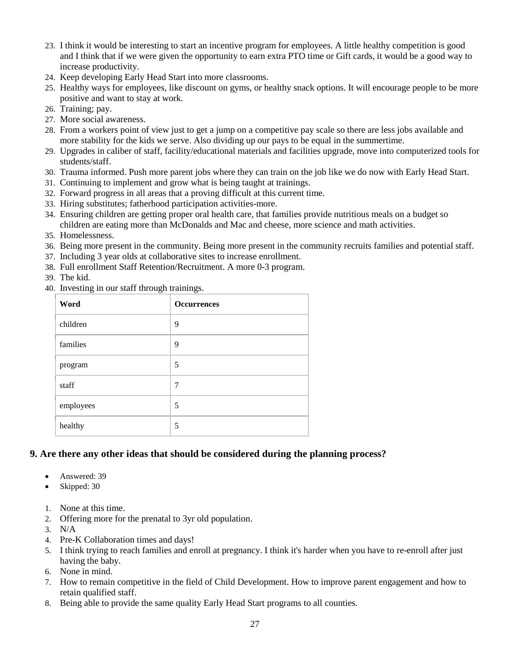- 23. I think it would be interesting to start an incentive program for employees. A little healthy competition is good and I think that if we were given the opportunity to earn extra PTO time or Gift cards, it would be a good way to increase productivity.
- 24. Keep developing Early Head Start into more classrooms.
- 25. Healthy ways for employees, like discount on gyms, or healthy snack options. It will encourage people to be more positive and want to stay at work.
- 26. Training; pay.
- 27. More social awareness.
- 28. From a workers point of view just to get a jump on a competitive pay scale so there are less jobs available and more stability for the kids we serve. Also dividing up our pays to be equal in the summertime.
- 29. Upgrades in caliber of staff, facility/educational materials and facilities upgrade, move into computerized tools for students/staff.
- 30. Trauma informed. Push more parent jobs where they can train on the job like we do now with Early Head Start.
- 31. Continuing to implement and grow what is being taught at trainings.
- 32. Forward progress in all areas that a proving difficult at this current time.
- 33. Hiring substitutes; fatherhood participation activities-more.
- 34. Ensuring children are getting proper oral health care, that families provide nutritious meals on a budget so children are eating more than McDonalds and Mac and cheese, more science and math activities.
- 35. Homelessness.
- 36. Being more present in the community. Being more present in the community recruits families and potential staff.
- 37. Including 3 year olds at collaborative sites to increase enrollment.
- 38. Full enrollment Staff Retention/Recruitment. A more 0-3 program.
- 39. The kid.
- 40. Investing in our staff through trainings.

| Word      | <b>Occurrences</b> |
|-----------|--------------------|
| children  | 9                  |
| families  | 9                  |
| program   | 5                  |
| staff     | 7                  |
| employees | 5                  |
| healthy   | 5                  |

## **9. Are there any other ideas that should be considered during the planning process?**

- Answered: 39
- Skipped: 30
- 1. None at this time.
- 2. Offering more for the prenatal to 3yr old population.
- 3. N/A
- 4. Pre-K Collaboration times and days!
- 5. I think trying to reach families and enroll at pregnancy. I think it's harder when you have to re-enroll after just having the baby.
- 6. None in mind.
- 7. How to remain competitive in the field of Child Development. How to improve parent engagement and how to retain qualified staff.
- 8. Being able to provide the same quality Early Head Start programs to all counties.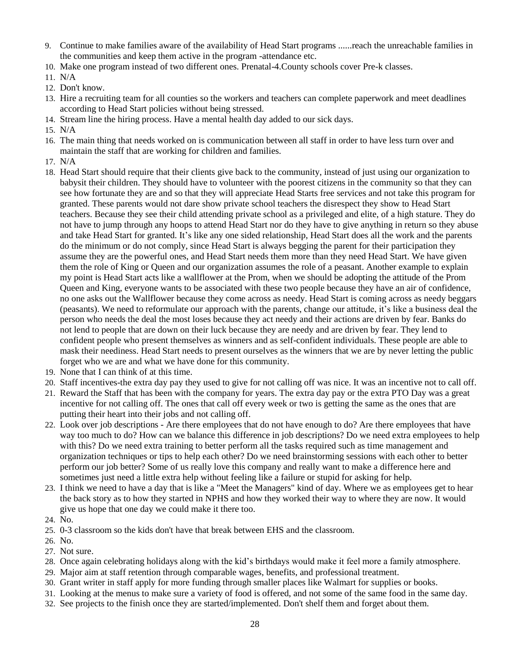- 9. Continue to make families aware of the availability of Head Start programs ......reach the unreachable families in the communities and keep them active in the program -attendance etc.
- 10. Make one program instead of two different ones. Prenatal-4.County schools cover Pre-k classes.
- 11. N/A
- 12. Don't know.
- 13. Hire a recruiting team for all counties so the workers and teachers can complete paperwork and meet deadlines according to Head Start policies without being stressed.
- 14. Stream line the hiring process. Have a mental health day added to our sick days.
- 15. N/A
- 16. The main thing that needs worked on is communication between all staff in order to have less turn over and maintain the staff that are working for children and families.
- 17. N/A
- 18. Head Start should require that their clients give back to the community, instead of just using our organization to babysit their children. They should have to volunteer with the poorest citizens in the community so that they can see how fortunate they are and so that they will appreciate Head Starts free services and not take this program for granted. These parents would not dare show private school teachers the disrespect they show to Head Start teachers. Because they see their child attending private school as a privileged and elite, of a high stature. They do not have to jump through any hoops to attend Head Start nor do they have to give anything in return so they abuse and take Head Start for granted. It's like any one sided relationship, Head Start does all the work and the parents do the minimum or do not comply, since Head Start is always begging the parent for their participation they assume they are the powerful ones, and Head Start needs them more than they need Head Start. We have given them the role of King or Queen and our organization assumes the role of a peasant. Another example to explain my point is Head Start acts like a wallflower at the Prom, when we should be adopting the attitude of the Prom Queen and King, everyone wants to be associated with these two people because they have an air of confidence, no one asks out the Wallflower because they come across as needy. Head Start is coming across as needy beggars (peasants). We need to reformulate our approach with the parents, change our attitude, it's like a business deal the person who needs the deal the most loses because they act needy and their actions are driven by fear. Banks do not lend to people that are down on their luck because they are needy and are driven by fear. They lend to confident people who present themselves as winners and as self-confident individuals. These people are able to mask their neediness. Head Start needs to present ourselves as the winners that we are by never letting the public forget who we are and what we have done for this community.
- 19. None that I can think of at this time.
- 20. Staff incentives-the extra day pay they used to give for not calling off was nice. It was an incentive not to call off.
- 21. Reward the Staff that has been with the company for years. The extra day pay or the extra PTO Day was a great incentive for not calling off. The ones that call off every week or two is getting the same as the ones that are putting their heart into their jobs and not calling off.
- 22. Look over job descriptions Are there employees that do not have enough to do? Are there employees that have way too much to do? How can we balance this difference in job descriptions? Do we need extra employees to help with this? Do we need extra training to better perform all the tasks required such as time management and organization techniques or tips to help each other? Do we need brainstorming sessions with each other to better perform our job better? Some of us really love this company and really want to make a difference here and sometimes just need a little extra help without feeling like a failure or stupid for asking for help.
- 23. I think we need to have a day that is like a "Meet the Managers" kind of day. Where we as employees get to hear the back story as to how they started in NPHS and how they worked their way to where they are now. It would give us hope that one day we could make it there too.
- 24. No.
- 25. 0-3 classroom so the kids don't have that break between EHS and the classroom.
- 26. No.
- 27. Not sure.
- 28. Once again celebrating holidays along with the kid's birthdays would make it feel more a family atmosphere.
- 29. Major aim at staff retention through comparable wages, benefits, and professional treatment.
- 30. Grant writer in staff apply for more funding through smaller places like Walmart for supplies or books.
- 31. Looking at the menus to make sure a variety of food is offered, and not some of the same food in the same day.
- 32. See projects to the finish once they are started/implemented. Don't shelf them and forget about them.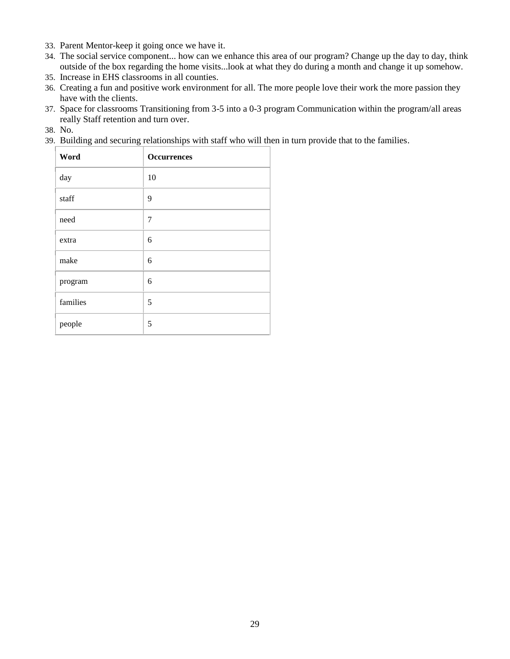- 33. Parent Mentor-keep it going once we have it.
- 34. The social service component... how can we enhance this area of our program? Change up the day to day, think outside of the box regarding the home visits...look at what they do during a month and change it up somehow.
- 35. Increase in EHS classrooms in all counties.
- 36. Creating a fun and positive work environment for all. The more people love their work the more passion they have with the clients.
- 37. Space for classrooms Transitioning from 3-5 into a 0-3 program Communication within the program/all areas really Staff retention and turn over.
- 38. No.
- 39. Building and securing relationships with staff who will then in turn provide that to the families.

| Word     | <b>Occurrences</b> |
|----------|--------------------|
| day      | 10                 |
| staff    | 9                  |
| need     | 7                  |
| extra    | 6                  |
| make     | 6                  |
| program  | 6                  |
| families | 5                  |
| people   | 5                  |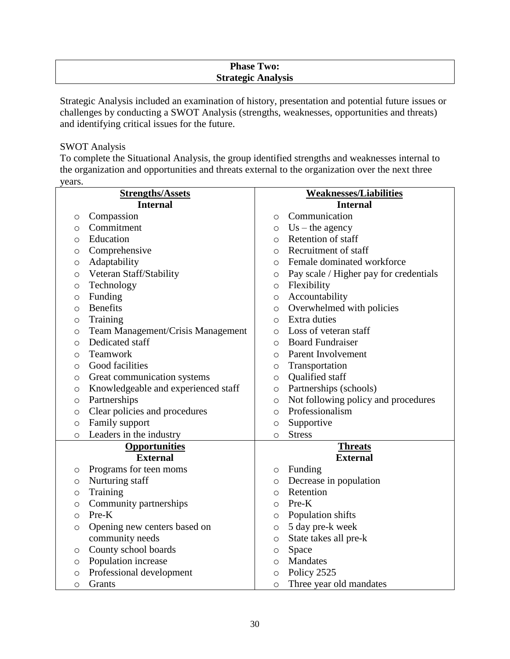## **Phase Two: Strategic Analysis**

Strategic Analysis included an examination of history, presentation and potential future issues or challenges by conducting a SWOT Analysis (strengths, weaknesses, opportunities and threats) and identifying critical issues for the future.

#### SWOT Analysis

To complete the Situational Analysis, the group identified strengths and weaknesses internal to the organization and opportunities and threats external to the organization over the next three years.

|         | <b>Strengths/Assets</b>             | <b>Weaknesses/Liabilities</b>                  |                                        |
|---------|-------------------------------------|------------------------------------------------|----------------------------------------|
|         | <b>Internal</b>                     | <b>Internal</b>                                |                                        |
| $\circ$ | Compassion                          | $\circ$                                        | Communication                          |
| $\circ$ | Commitment                          | $\circ$                                        | $Us$ – the agency                      |
| $\circ$ | Education                           | $\circ$                                        | Retention of staff                     |
| O       | Comprehensive                       | $\circ$                                        | Recruitment of staff                   |
| $\circ$ | Adaptability                        | $\circ$                                        | Female dominated workforce             |
| $\circ$ | Veteran Staff/Stability             | $\circ$                                        | Pay scale / Higher pay for credentials |
| O       | Technology                          | $\circ$                                        | Flexibility                            |
| $\circ$ | Funding                             | $\circ$                                        | Accountability                         |
| $\circ$ | <b>Benefits</b>                     | $\circ$                                        | Overwhelmed with policies              |
| $\circ$ | Training                            | $\circ$                                        | Extra duties                           |
| $\circ$ | Team Management/Crisis Management   | $\circ$                                        | Loss of veteran staff                  |
| $\circ$ | Dedicated staff                     | $\bigcirc$                                     | <b>Board Fundraiser</b>                |
| $\circ$ | Teamwork                            | $\circ$                                        | Parent Involvement                     |
| O       | Good facilities                     | $\circ$                                        | Transportation                         |
| $\circ$ | Great communication systems         | $\circ$                                        | Qualified staff                        |
| $\circ$ | Knowledgeable and experienced staff | $\circ$                                        | Partnerships (schools)                 |
| $\circ$ | Partnerships                        | Not following policy and procedures<br>$\circ$ |                                        |
| $\circ$ | Clear policies and procedures       | Professionalism<br>$\circ$                     |                                        |
| $\circ$ | Family support                      | Supportive<br>$\circ$                          |                                        |
| $\circ$ | Leaders in the industry             | $\circ$                                        | <b>Stress</b>                          |
|         | <b>Opportunities</b>                | <b>Threats</b>                                 |                                        |
|         | <b>External</b>                     |                                                | <b>External</b>                        |
| O       | Programs for teen moms              | $\circ$                                        | Funding                                |
| O       | Nurturing staff                     | $\circ$                                        | Decrease in population                 |
| $\circ$ | Training                            | Retention<br>$\circ$                           |                                        |
| $\circ$ | Community partnerships              | Pre-K<br>$\circ$                               |                                        |
| $\circ$ | Pre-K                               | Population shifts<br>$\circ$                   |                                        |
| $\circ$ | Opening new centers based on        | 5 day pre-k week<br>$\circ$                    |                                        |
|         | community needs                     | $\circ$                                        | State takes all pre-k                  |
| O       | County school boards                | Space<br>$\circ$                               |                                        |
| $\circ$ | Population increase                 | Mandates<br>$\circ$                            |                                        |
| $\circ$ | Professional development            | $\circ$                                        | Policy 2525                            |
| $\circ$ | Grants                              | $\circ$                                        | Three year old mandates                |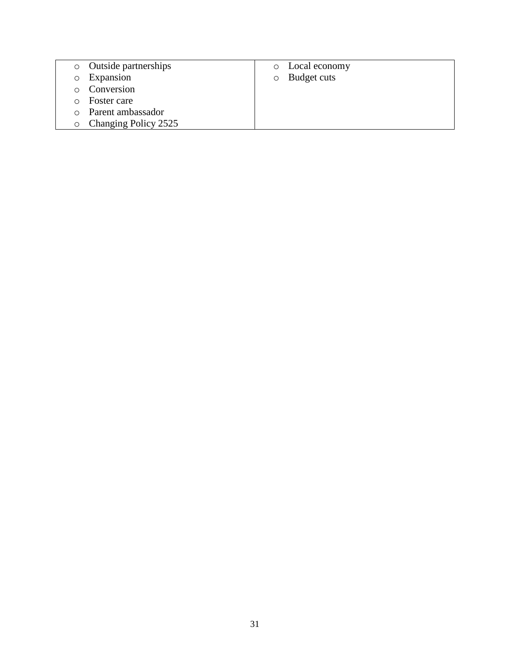- o Outside partnerships
- o Expansion
- o Conversion
- o Foster care
- o Parent ambassador
- o Changing Policy 2525
- o Local economy
- o Budget cuts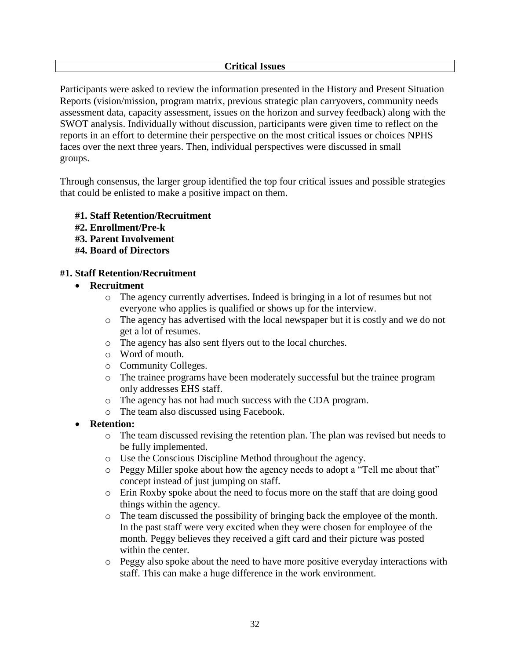### **Critical Issues**

Participants were asked to review the information presented in the History and Present Situation Reports (vision/mission, program matrix, previous strategic plan carryovers, community needs assessment data, capacity assessment, issues on the horizon and survey feedback) along with the SWOT analysis. Individually without discussion, participants were given time to reflect on the reports in an effort to determine their perspective on the most critical issues or choices NPHS faces over the next three years. Then, individual perspectives were discussed in small groups.

Through consensus, the larger group identified the top four critical issues and possible strategies that could be enlisted to make a positive impact on them.

- **#1. Staff Retention/Recruitment**
- **#2. Enrollment/Pre-k**
- **#3. Parent Involvement**
- **#4. Board of Directors**

### **#1. Staff Retention/Recruitment**

#### **Recruitment**

- o The agency currently advertises. Indeed is bringing in a lot of resumes but not everyone who applies is qualified or shows up for the interview.
- o The agency has advertised with the local newspaper but it is costly and we do not get a lot of resumes.
- o The agency has also sent flyers out to the local churches.
- o Word of mouth.
- o Community Colleges.
- o The trainee programs have been moderately successful but the trainee program only addresses EHS staff.
- o The agency has not had much success with the CDA program.
- o The team also discussed using Facebook.
- **Retention:** 
	- o The team discussed revising the retention plan. The plan was revised but needs to be fully implemented.
	- o Use the Conscious Discipline Method throughout the agency.
	- o Peggy Miller spoke about how the agency needs to adopt a "Tell me about that" concept instead of just jumping on staff.
	- o Erin Roxby spoke about the need to focus more on the staff that are doing good things within the agency.
	- o The team discussed the possibility of bringing back the employee of the month. In the past staff were very excited when they were chosen for employee of the month. Peggy believes they received a gift card and their picture was posted within the center.
	- o Peggy also spoke about the need to have more positive everyday interactions with staff. This can make a huge difference in the work environment.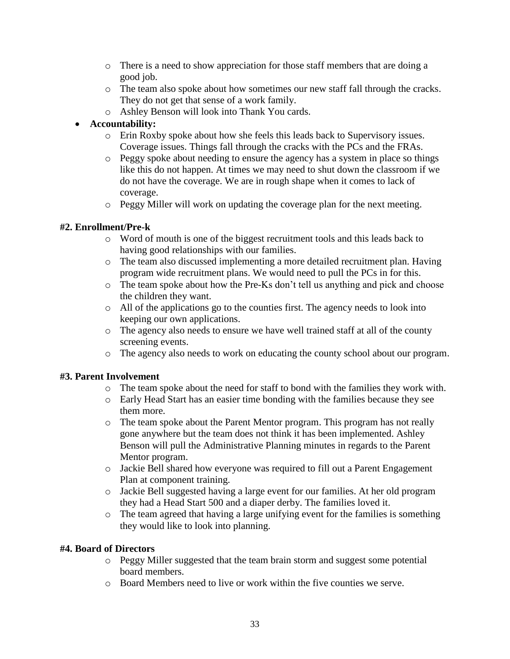- o There is a need to show appreciation for those staff members that are doing a good job.
- o The team also spoke about how sometimes our new staff fall through the cracks. They do not get that sense of a work family.
- o Ashley Benson will look into Thank You cards.

## **Accountability:**

- o Erin Roxby spoke about how she feels this leads back to Supervisory issues. Coverage issues. Things fall through the cracks with the PCs and the FRAs.
- o Peggy spoke about needing to ensure the agency has a system in place so things like this do not happen. At times we may need to shut down the classroom if we do not have the coverage. We are in rough shape when it comes to lack of coverage.
- o Peggy Miller will work on updating the coverage plan for the next meeting.

## **#2. Enrollment/Pre-k**

- o Word of mouth is one of the biggest recruitment tools and this leads back to having good relationships with our families.
- o The team also discussed implementing a more detailed recruitment plan. Having program wide recruitment plans. We would need to pull the PCs in for this.
- o The team spoke about how the Pre-Ks don't tell us anything and pick and choose the children they want.
- o All of the applications go to the counties first. The agency needs to look into keeping our own applications.
- o The agency also needs to ensure we have well trained staff at all of the county screening events.
- o The agency also needs to work on educating the county school about our program.

## **#3. Parent Involvement**

- o The team spoke about the need for staff to bond with the families they work with.
- o Early Head Start has an easier time bonding with the families because they see them more.
- o The team spoke about the Parent Mentor program. This program has not really gone anywhere but the team does not think it has been implemented. Ashley Benson will pull the Administrative Planning minutes in regards to the Parent Mentor program.
- o Jackie Bell shared how everyone was required to fill out a Parent Engagement Plan at component training.
- o Jackie Bell suggested having a large event for our families. At her old program they had a Head Start 500 and a diaper derby. The families loved it.
- o The team agreed that having a large unifying event for the families is something they would like to look into planning.

## **#4. Board of Directors**

- o Peggy Miller suggested that the team brain storm and suggest some potential board members.
- o Board Members need to live or work within the five counties we serve.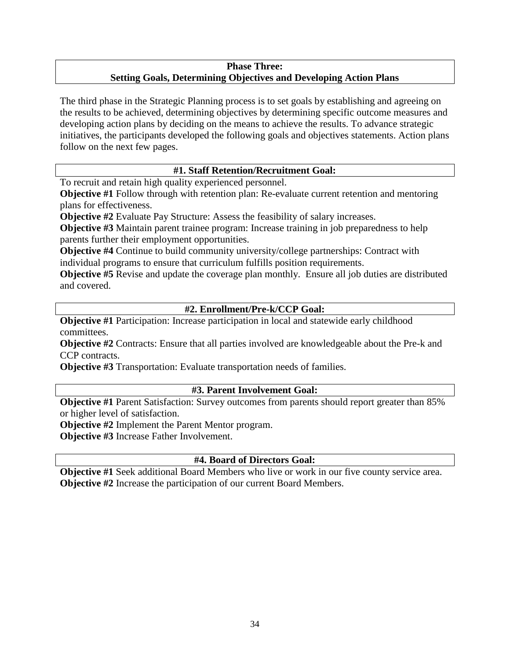## **Phase Three: Setting Goals, Determining Objectives and Developing Action Plans**

The third phase in the Strategic Planning process is to set goals by establishing and agreeing on the results to be achieved, determining objectives by determining specific outcome measures and developing action plans by deciding on the means to achieve the results. To advance strategic initiatives, the participants developed the following goals and objectives statements. Action plans follow on the next few pages.

## **#1. Staff Retention/Recruitment Goal:**

To recruit and retain high quality experienced personnel.

**Objective #1** Follow through with retention plan: Re-evaluate current retention and mentoring plans for effectiveness.

**Objective #2** Evaluate Pay Structure: Assess the feasibility of salary increases.

**Objective #3** Maintain parent trainee program: Increase training in job preparedness to help parents further their employment opportunities.

**Objective #4** Continue to build community university/college partnerships: Contract with individual programs to ensure that curriculum fulfills position requirements.

**Objective #5** Revise and update the coverage plan monthly. Ensure all job duties are distributed and covered.

# **#2. Enrollment/Pre-k/CCP Goal:**

**Objective #1** Participation: Increase participation in local and statewide early childhood committees.

**Objective #2** Contracts: Ensure that all parties involved are knowledgeable about the Pre-k and CCP contracts.

**Objective #3** Transportation: Evaluate transportation needs of families.

## **#3. Parent Involvement Goal:**

**Objective #1** Parent Satisfaction: Survey outcomes from parents should report greater than 85% or higher level of satisfaction.

**Objective #2** Implement the Parent Mentor program.

**Objective #3** Increase Father Involvement.

# **#4. Board of Directors Goal:**

**Objective #1** Seek additional Board Members who live or work in our five county service area. **Objective #2** Increase the participation of our current Board Members.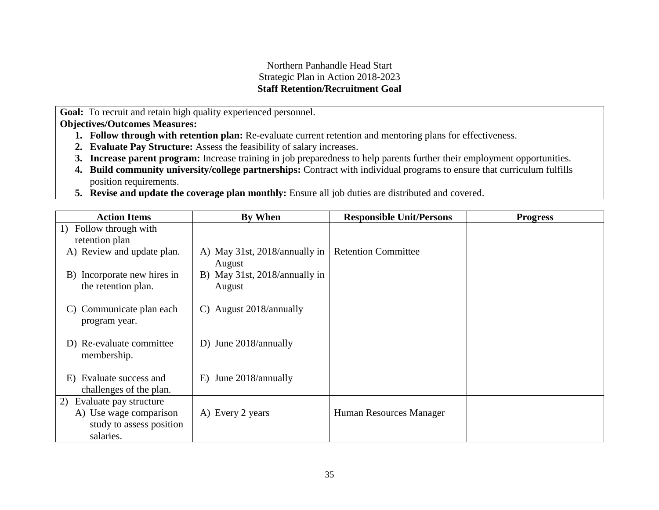## Northern Panhandle Head Start Strategic Plan in Action 2018-2023 **Staff Retention/Recruitment Goal**

**Goal:** To recruit and retain high quality experienced personnel.

- **1. Follow through with retention plan:** Re-evaluate current retention and mentoring plans for effectiveness.
- **2. Evaluate Pay Structure:** Assess the feasibility of salary increases.
- **3. Increase parent program:** Increase training in job preparedness to help parents further their employment opportunities.
- **4. Build community university/college partnerships:** Contract with individual programs to ensure that curriculum fulfills position requirements.
- **5. Revise and update the coverage plan monthly:** Ensure all job duties are distributed and covered.

| <b>Action Items</b>                                   | By When                                 | <b>Responsible Unit/Persons</b> | <b>Progress</b> |
|-------------------------------------------------------|-----------------------------------------|---------------------------------|-----------------|
| Follow through with<br>1)                             |                                         |                                 |                 |
| retention plan                                        |                                         |                                 |                 |
| A) Review and update plan.                            | A) May 31st, 2018/annually in<br>August | <b>Retention Committee</b>      |                 |
| B) Incorporate new hires in<br>the retention plan.    | B) May 31st, 2018/annually in<br>August |                                 |                 |
| Communicate plan each<br>C)<br>program year.          | C) August 2018/annually                 |                                 |                 |
| D) Re-evaluate committee<br>membership.               | D) June 2018/annually                   |                                 |                 |
| Evaluate success and<br>E)<br>challenges of the plan. | E) June 2018/annually                   |                                 |                 |
| Evaluate pay structure<br>2)                          |                                         |                                 |                 |
| A) Use wage comparison                                | A) Every 2 years                        | Human Resources Manager         |                 |
| study to assess position                              |                                         |                                 |                 |
| salaries.                                             |                                         |                                 |                 |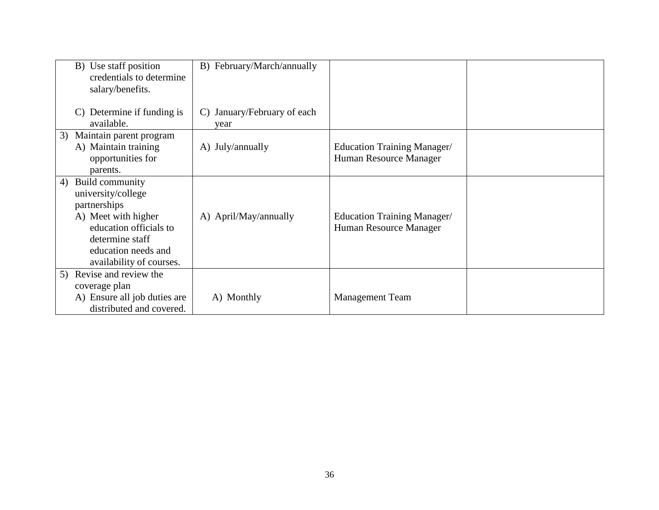| B) Use staff position<br>credentials to determine<br>salary/benefits.                                                                                                              | B) February/March/annually                        |                                                              |  |
|------------------------------------------------------------------------------------------------------------------------------------------------------------------------------------|---------------------------------------------------|--------------------------------------------------------------|--|
| C) Determine if funding is<br>available.                                                                                                                                           | January/February of each<br>$\mathcal{C}$<br>year |                                                              |  |
| Maintain parent program<br>3)<br>A) Maintain training<br>opportunities for<br>parents.                                                                                             | A) July/annually                                  | <b>Education Training Manager/</b><br>Human Resource Manager |  |
| Build community<br>4)<br>university/college<br>partnerships<br>A) Meet with higher<br>education officials to<br>determine staff<br>education needs and<br>availability of courses. | A) April/May/annually                             | Education Training Manager/<br>Human Resource Manager        |  |
| 5) Revise and review the<br>coverage plan<br>A) Ensure all job duties are<br>distributed and covered.                                                                              | A) Monthly                                        | <b>Management Team</b>                                       |  |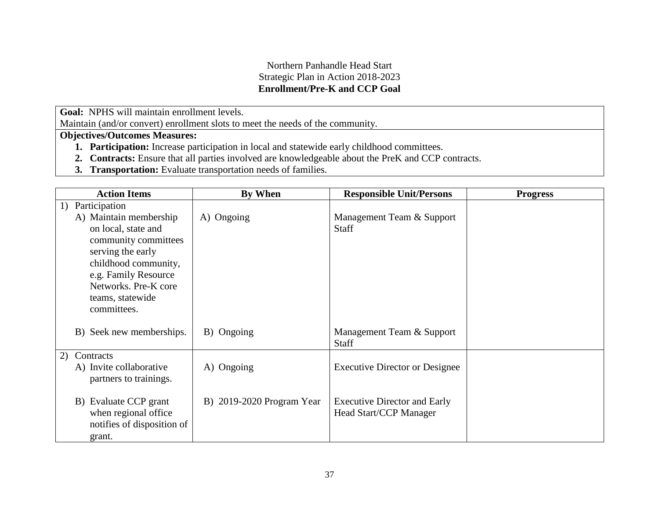## Northern Panhandle Head Start Strategic Plan in Action 2018-2023 **Enrollment/Pre-K and CCP Goal**

**Goal:** NPHS will maintain enrollment levels.

Maintain (and/or convert) enrollment slots to meet the needs of the community.

- **1. Participation:** Increase participation in local and statewide early childhood committees.
- **2. Contracts:** Ensure that all parties involved are knowledgeable about the PreK and CCP contracts.
- **3. Transportation:** Evaluate transportation needs of families.

|    | <b>Action Items</b>                                                                                                                                                                                   | <b>By When</b>            | <b>Responsible Unit/Persons</b>                                      | <b>Progress</b> |
|----|-------------------------------------------------------------------------------------------------------------------------------------------------------------------------------------------------------|---------------------------|----------------------------------------------------------------------|-----------------|
| 1) | Participation                                                                                                                                                                                         |                           |                                                                      |                 |
|    | A) Maintain membership<br>on local, state and<br>community committees<br>serving the early<br>childhood community,<br>e.g. Family Resource<br>Networks. Pre-K core<br>teams, statewide<br>committees. | A) Ongoing                | Management Team & Support<br><b>Staff</b>                            |                 |
|    | B) Seek new memberships.                                                                                                                                                                              | B) Ongoing                | Management Team & Support<br><b>Staff</b>                            |                 |
| 2) | Contracts                                                                                                                                                                                             |                           |                                                                      |                 |
|    | A) Invite collaborative<br>partners to trainings.                                                                                                                                                     | A) Ongoing                | <b>Executive Director or Designee</b>                                |                 |
|    | B) Evaluate CCP grant<br>when regional office<br>notifies of disposition of<br>grant.                                                                                                                 | B) 2019-2020 Program Year | <b>Executive Director and Early</b><br><b>Head Start/CCP Manager</b> |                 |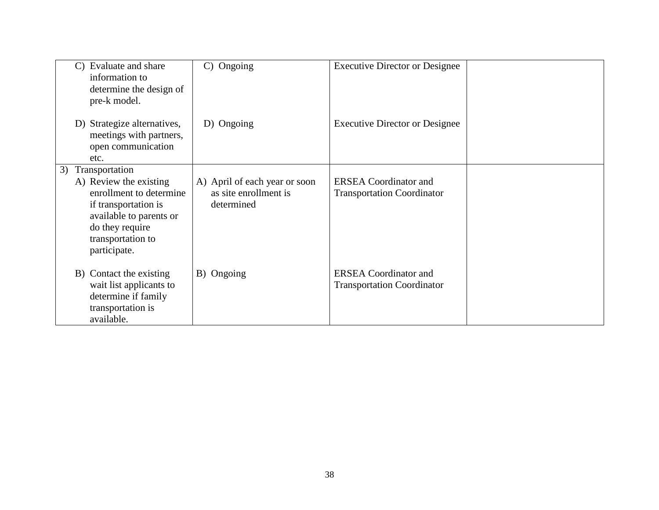| $\mathbf{C}$ | Evaluate and share<br>information to<br>determine the design of<br>pre-k model.                                                                                                | Ongoing<br>$\mathcal{C}$                                             | <b>Executive Director or Designee</b>                             |  |
|--------------|--------------------------------------------------------------------------------------------------------------------------------------------------------------------------------|----------------------------------------------------------------------|-------------------------------------------------------------------|--|
|              | D) Strategize alternatives,<br>meetings with partners,<br>open communication<br>etc.                                                                                           | D) Ongoing                                                           | <b>Executive Director or Designee</b>                             |  |
| 3)           | Transportation<br>A) Review the existing<br>enrollment to determine<br>if transportation is<br>available to parents or<br>do they require<br>transportation to<br>participate. | A) April of each year or soon<br>as site enrollment is<br>determined | <b>ERSEA</b> Coordinator and<br><b>Transportation Coordinator</b> |  |
|              | B) Contact the existing<br>wait list applicants to<br>determine if family<br>transportation is<br>available.                                                                   | B) Ongoing                                                           | <b>ERSEA</b> Coordinator and<br><b>Transportation Coordinator</b> |  |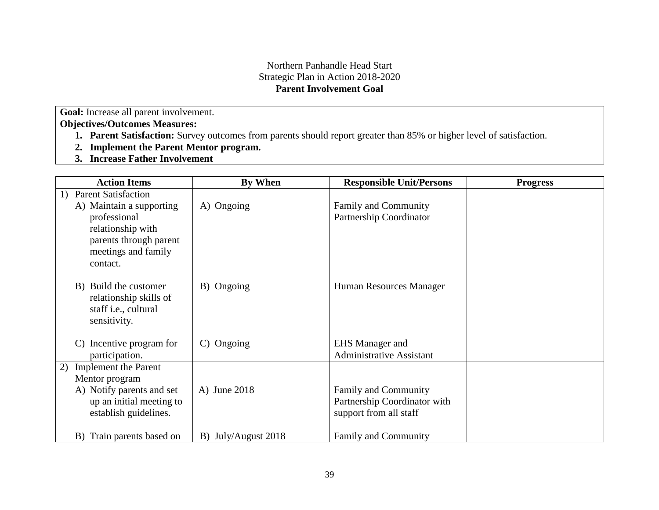## Northern Panhandle Head Start Strategic Plan in Action 2018-2020 **Parent Involvement Goal**

**Goal:** Increase all parent involvement.

- **1. Parent Satisfaction:** Survey outcomes from parents should report greater than 85% or higher level of satisfaction.
- **2. Implement the Parent Mentor program.**
- **3. Increase Father Involvement**

| <b>Action Items</b>                   | <b>By When</b>           | <b>Responsible Unit/Persons</b> | <b>Progress</b> |
|---------------------------------------|--------------------------|---------------------------------|-----------------|
| <b>Parent Satisfaction</b><br>1)      |                          |                                 |                 |
| A) Maintain a supporting              | A) Ongoing               | Family and Community            |                 |
| professional                          |                          | Partnership Coordinator         |                 |
| relationship with                     |                          |                                 |                 |
| parents through parent                |                          |                                 |                 |
| meetings and family                   |                          |                                 |                 |
| contact.                              |                          |                                 |                 |
| B) Build the customer                 | B) Ongoing               | Human Resources Manager         |                 |
| relationship skills of                |                          |                                 |                 |
| staff i.e., cultural                  |                          |                                 |                 |
| sensitivity.                          |                          |                                 |                 |
|                                       |                          |                                 |                 |
| Incentive program for<br>$\mathbf{C}$ | Ongoing<br>$\mathcal{C}$ | <b>EHS</b> Manager and          |                 |
| participation.                        |                          | <b>Administrative Assistant</b> |                 |
| <b>Implement</b> the Parent<br>2)     |                          |                                 |                 |
| Mentor program                        |                          |                                 |                 |
| A) Notify parents and set             | A) June 2018             | Family and Community            |                 |
| up an initial meeting to              |                          | Partnership Coordinator with    |                 |
| establish guidelines.                 |                          | support from all staff          |                 |
| B) Train parents based on             | B) July/August 2018      | Family and Community            |                 |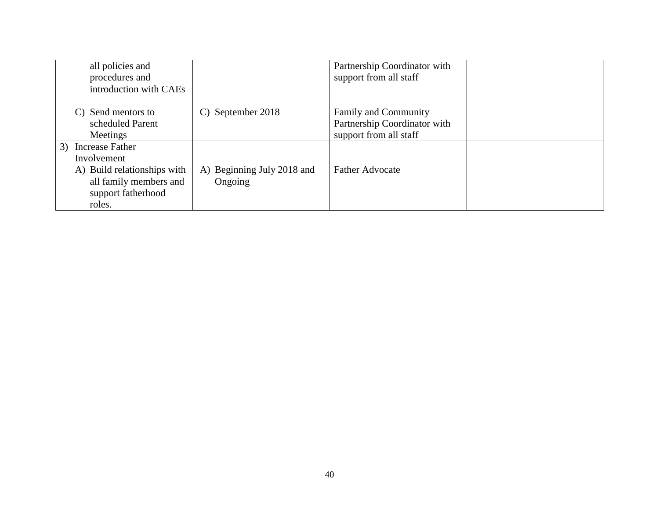| all policies and<br>procedures and<br>introduction with CAEs                                                               |                                       | Partnership Coordinator with<br>support from all staff                                |  |
|----------------------------------------------------------------------------------------------------------------------------|---------------------------------------|---------------------------------------------------------------------------------------|--|
| C) Send mentors to<br>scheduled Parent<br>Meetings                                                                         | C) September 2018                     | <b>Family and Community</b><br>Partnership Coordinator with<br>support from all staff |  |
| 3) Increase Father<br>Involvement<br>A) Build relationships with<br>all family members and<br>support fatherhood<br>roles. | A) Beginning July 2018 and<br>Ongoing | <b>Father Advocate</b>                                                                |  |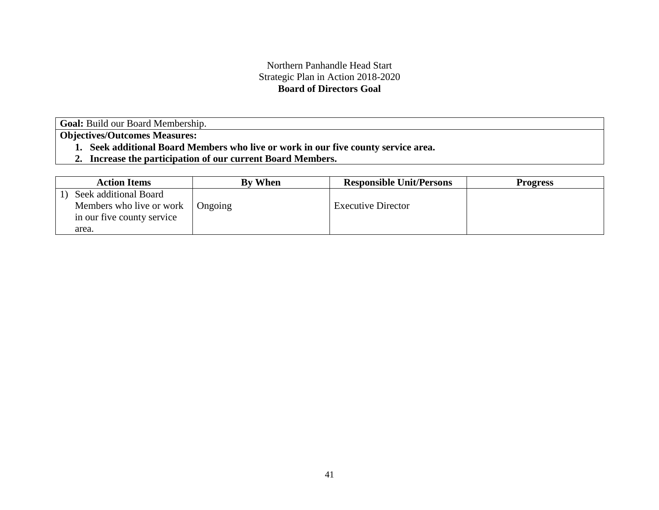## Northern Panhandle Head Start Strategic Plan in Action 2018-2020 **Board of Directors Goal**

Goal: Build our Board Membership.

- **1. Seek additional Board Members who live or work in our five county service area.**
- **2. Increase the participation of our current Board Members.**

| <b>Action Items</b>        | <b>By When</b> | <b>Responsible Unit/Persons</b> | <b>Progress</b> |
|----------------------------|----------------|---------------------------------|-----------------|
| Seek additional Board      |                |                                 |                 |
| Members who live or work   | Ongoing        | <b>Executive Director</b>       |                 |
| in our five county service |                |                                 |                 |
| area.                      |                |                                 |                 |